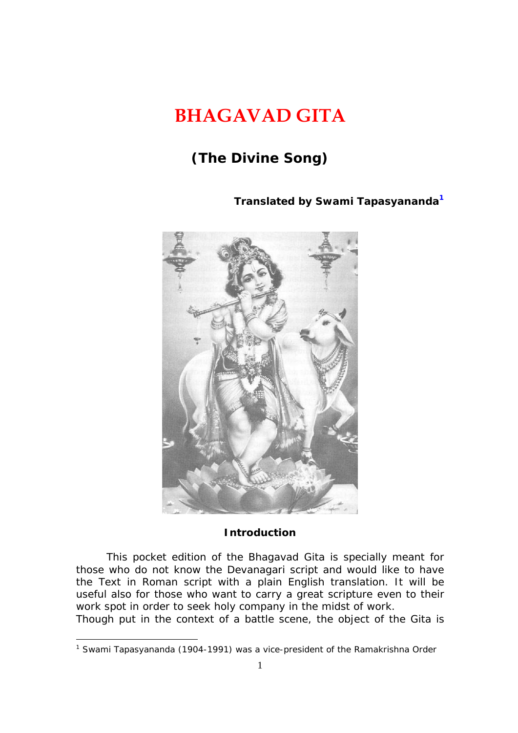# **BHAGAVAD GITA**

# **(The Divine Song)**

# **Translated by Swami Tapasyananda1**



# **Introduction**

This pocket edition of the Bhagavad Gita is specially meant for those who do not know the Devanagari script and would like to have the Text in Roman script with a plain English translation. It will be useful also for those who want to carry a great scripture even to their work spot in order to seek holy company in the midst of work.

Though put in the context of a battle scene, the object of the Gita is

 $\overline{a}$ 

<sup>&</sup>lt;sup>1</sup> Swami Tapasyananda (1904-1991) was a vice-president of the Ramakrishna Order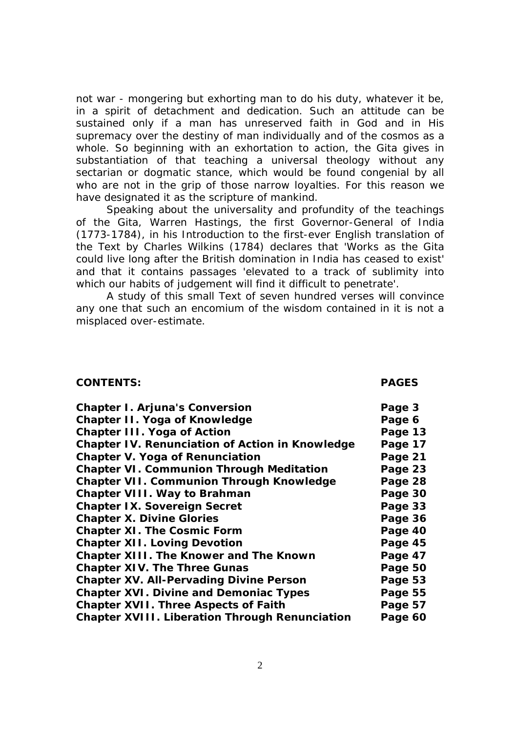not war - mongering but exhorting man to do his duty, whatever it be, in a spirit of detachment and dedication. Such an attitude can be sustained only if a man has unreserved faith in God and in His supremacy over the destiny of man individually and of the cosmos as a whole. So beginning with an exhortation to action, the Gita gives in substantiation of that teaching a universal theology without any sectarian or dogmatic stance, which would be found congenial by all who are not in the grip of those narrow loyalties. For this reason we have designated it as the scripture of mankind.

Speaking about the universality and profundity of the teachings of the Gita, Warren Hastings, the first Governor-General of India (1773-1784), in his Introduction to the first-ever English translation of the Text by Charles Wilkins (1784) declares that 'Works as the Gita could live long after the British domination in India has ceased to exist' and that it contains passages 'elevated to a track of sublimity into which our habits of judgement will find it difficult to penetrate'.

A study of this small Text of seven hundred verses will convince any one that such an encomium of the wisdom contained in it is not a misplaced over-estimate.

#### **CONTENTS: PAGES**

| <b>Chapter I. Arjuna's Conversion</b>                  | Page 3  |
|--------------------------------------------------------|---------|
| <b>Chapter II. Yoga of Knowledge</b>                   | Page 6  |
| <b>Chapter III. Yoga of Action</b>                     | Page 13 |
| <b>Chapter IV. Renunciation of Action in Knowledge</b> | Page 17 |
| <b>Chapter V. Yoga of Renunciation</b>                 | Page 21 |
| <b>Chapter VI. Communion Through Meditation</b>        | Page 23 |
| <b>Chapter VII. Communion Through Knowledge</b>        | Page 28 |
| <b>Chapter VIII. Way to Brahman</b>                    | Page 30 |
| <b>Chapter IX. Sovereign Secret</b>                    | Page 33 |
| <b>Chapter X. Divine Glories</b>                       | Page 36 |
| <b>Chapter XI. The Cosmic Form</b>                     | Page 40 |
| <b>Chapter XII. Loving Devotion</b>                    | Page 45 |
| <b>Chapter XIII. The Knower and The Known</b>          | Page 47 |
| <b>Chapter XIV. The Three Gunas</b>                    | Page 50 |
| <b>Chapter XV. All-Pervading Divine Person</b>         | Page 53 |
| <b>Chapter XVI. Divine and Demoniac Types</b>          | Page 55 |
| <b>Chapter XVII. Three Aspects of Faith</b>            | Page 57 |
| <b>Chapter XVIII. Liberation Through Renunciation</b>  | Page 60 |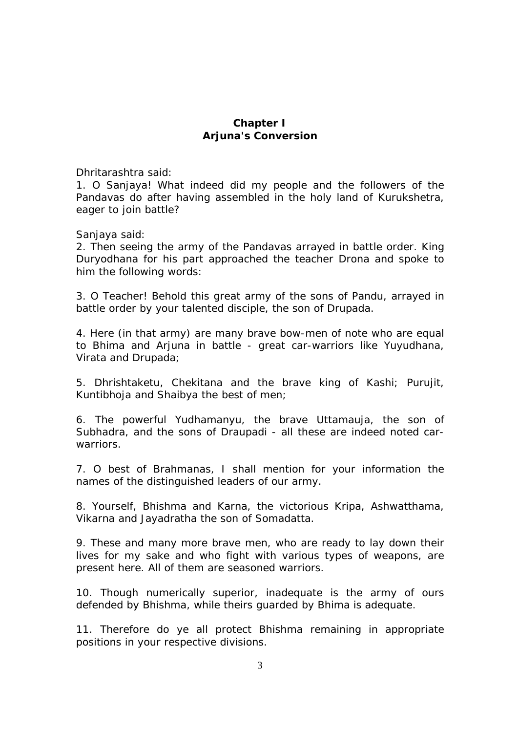# **Chapter I Arjuna's Conversion**

Dhritarashtra said:

1. O Sanjaya! What indeed did my people and the followers of the Pandavas do after having assembled in the holy land of Kurukshetra, eager to join battle?

Sanjaya said:

2. Then seeing the army of the Pandavas arrayed in battle order. King Duryodhana for his part approached the teacher Drona and spoke to him the following words:

3. O Teacher! Behold this great army of the sons of Pandu, arrayed in battle order by your talented disciple, the son of Drupada.

4. Here (in that army) are many brave bow-men of note who are equal to Bhima and Arjuna in battle - great car-warriors like Yuyudhana, Virata and Drupada;

5. Dhrishtaketu, Chekitana and the brave king of Kashi; Purujit, Kuntibhoja and Shaibya the best of men;

6. The powerful Yudhamanyu, the brave Uttamauja, the son of Subhadra, and the sons of Draupadi - all these are indeed noted carwarriors.

7. O best of Brahmanas, I shall mention for your information the names of the distinguished leaders of our army.

8. Yourself, Bhishma and Karna, the victorious Kripa, Ashwatthama, Vikarna and Jayadratha the son of Somadatta.

9. These and many more brave men, who are ready to lay down their lives for my sake and who fight with various types of weapons, are present here. All of them are seasoned warriors.

10. Though numerically superior, inadequate is the army of ours defended by Bhishma, while theirs guarded by Bhima is adequate.

11. Therefore do ye all protect Bhishma remaining in appropriate positions in your respective divisions.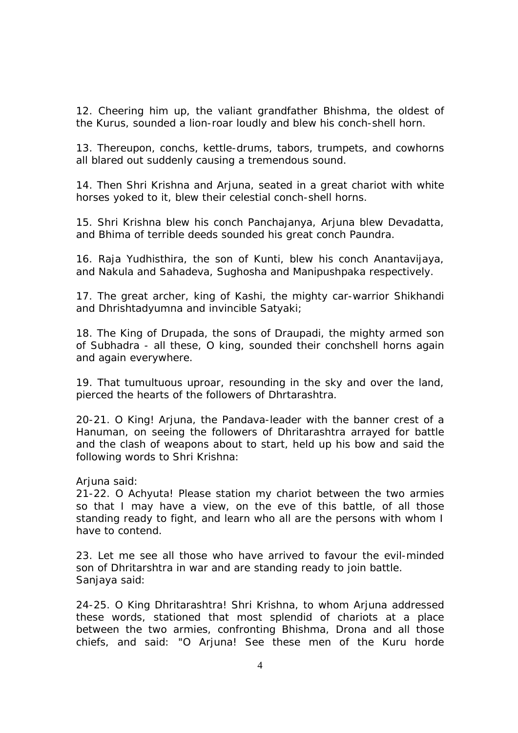12. Cheering him up, the valiant grandfather Bhishma, the oldest of the Kurus, sounded a lion-roar loudly and blew his conch-shell horn.

13. Thereupon, conchs, kettle-drums, tabors, trumpets, and cowhorns all blared out suddenly causing a tremendous sound.

14. Then Shri Krishna and Arjuna, seated in a great chariot with white horses yoked to it, blew their celestial conch-shell horns.

15. Shri Krishna blew his conch Panchajanya, Arjuna blew Devadatta, and Bhima of terrible deeds sounded his great conch Paundra.

16. Raja Yudhisthira, the son of Kunti, blew his conch Anantavijaya, and Nakula and Sahadeva, Sughosha and Manipushpaka respectively.

17. The great archer, king of Kashi, the mighty car-warrior Shikhandi and Dhrishtadyumna and invincible Satyaki;

18. The King of Drupada, the sons of Draupadi, the mighty armed son of Subhadra - all these, O king, sounded their conchshell horns again and again everywhere.

19. That tumultuous uproar, resounding in the sky and over the land, pierced the hearts of the followers of Dhrtarashtra.

20-21. O King! Arjuna, the Pandava-leader with the banner crest of a Hanuman, on seeing the followers of Dhritarashtra arrayed for battle and the clash of weapons about to start, held up his bow and said the following words to Shri Krishna:

Arjuna said:

21-22. O Achyuta! Please station my chariot between the two armies so that I may have a view, on the eve of this battle, of all those standing ready to fight, and learn who all are the persons with whom I have to contend.

23. Let me see all those who have arrived to favour the evil-minded son of Dhritarshtra in war and are standing ready to join battle. Sanjaya said:

24-25. O King Dhritarashtra! Shri Krishna, to whom Arjuna addressed these words, stationed that most splendid of chariots at a place between the two armies, confronting Bhishma, Drona and all those chiefs, and said: "O Arjuna! See these men of the Kuru horde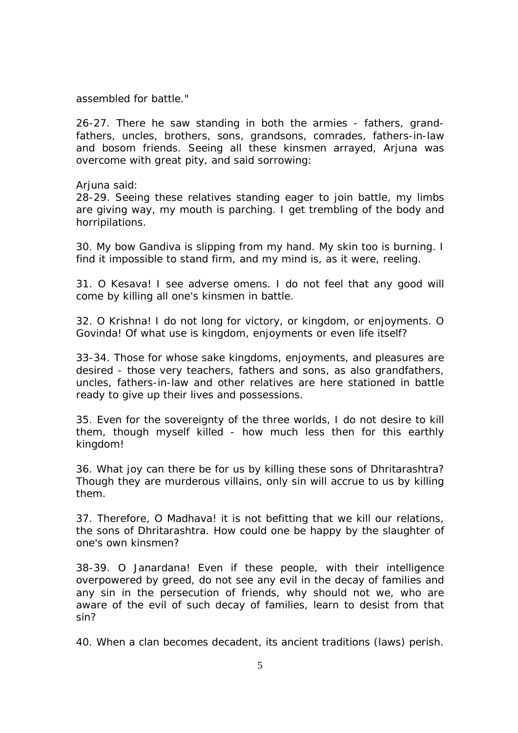assembled for battle."

26-27. There he saw standing in both the armies - fathers, grandfathers, uncles, brothers, sons, grandsons, comrades, fathers-in-law and bosom friends. Seeing all these kinsmen arrayed, Arjuna was overcome with great pity, and said sorrowing:

#### Arjuna said:

28-29. Seeing these relatives standing eager to join battle, my limbs are giving way, my mouth is parching. I get trembling of the body and horripilations.

30. My bow Gandiva is slipping from my hand. My skin too is burning. I find it impossible to stand firm, and my mind is, as it were, reeling.

31. O Kesava! I see adverse omens. I do not feel that any good will come by killing all one's kinsmen in battle.

32. O Krishna! I do not long for victory, or kingdom, or enjoyments. O Govinda! Of what use is kingdom, enjoyments or even life itself?

33-34. Those for whose sake kingdoms, enjoyments, and pleasures are desired - those very teachers, fathers and sons, as also grandfathers, uncles, fathers-in-law and other relatives are here stationed in battle ready to give up their lives and possessions.

35. Even for the sovereignty of the three worlds, I do not desire to kill them, though myself killed - how much less then for this earthly kingdom!

36. What joy can there be for us by killing these sons of Dhritarashtra? Though they are murderous villains, only sin will accrue to us by killing them.

37. Therefore, O Madhava! it is not befitting that we kill our relations, the sons of Dhritarashtra. How could one be happy by the slaughter of one's own kinsmen?

38-39. O Janardana! Even if these people, with their intelligence overpowered by greed, do not see any evil in the decay of families and any sin in the persecution of friends, why should not we, who are aware of the evil of such decay of families, learn to desist from that sin?

40. When a clan becomes decadent, its ancient traditions (laws) perish.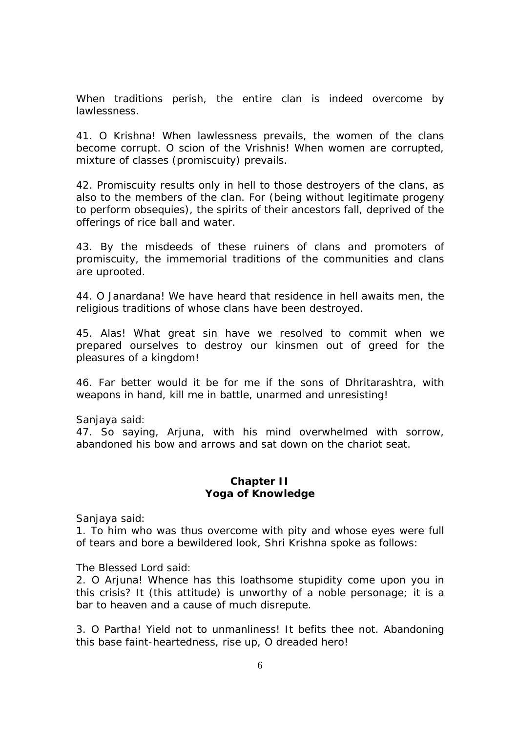When traditions perish, the entire clan is indeed overcome by lawlessness.

41. O Krishna! When lawlessness prevails, the women of the clans become corrupt. O scion of the Vrishnis! When women are corrupted, mixture of classes (promiscuity) prevails.

42. Promiscuity results only in hell to those destroyers of the clans, as also to the members of the clan. For (being without legitimate progeny to perform obsequies), the spirits of their ancestors fall, deprived of the offerings of rice ball and water.

43. By the misdeeds of these ruiners of clans and promoters of promiscuity, the immemorial traditions of the communities and clans are uprooted.

44. O Janardana! We have heard that residence in hell awaits men, the religious traditions of whose clans have been destroyed.

45. Alas! What great sin have we resolved to commit when we prepared ourselves to destroy our kinsmen out of greed for the pleasures of a kingdom!

46. Far better would it be for me if the sons of Dhritarashtra, with weapons in hand, kill me in battle, unarmed and unresisting!

Sanjaya said:

47. So saying, Arjuna, with his mind overwhelmed with sorrow, abandoned his bow and arrows and sat down on the chariot seat.

# **Chapter II Yoga of Knowledge**

Sanjaya said:

1. To him who was thus overcome with pity and whose eyes were full of tears and bore a bewildered look, Shri Krishna spoke as follows:

The Blessed Lord said:

2. O Arjuna! Whence has this loathsome stupidity come upon you in this crisis? It (this attitude) is unworthy of a noble personage; it is a bar to heaven and a cause of much disrepute.

3. O Partha! Yield not to unmanliness! It befits thee not. Abandoning this base faint-heartedness, rise up, O dreaded hero!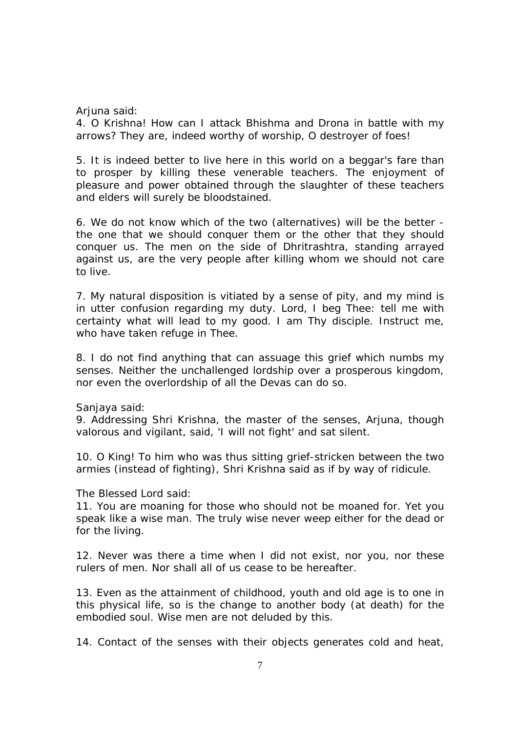Arjuna said:

4. O Krishna! How can I attack Bhishma and Drona in battle with my arrows? They are, indeed worthy of worship, O destroyer of foes!

5. It is indeed better to live here in this world on a beggar's fare than to prosper by killing these venerable teachers. The enjoyment of pleasure and power obtained through the slaughter of these teachers and elders will surely be bloodstained.

6. We do not know which of the two (alternatives) will be the better the one that we should conquer them or the other that they should conquer us. The men on the side of Dhritrashtra, standing arrayed against us, are the very people after killing whom we should not care to live.

7. My natural disposition is vitiated by a sense of pity, and my mind is in utter confusion regarding my duty. Lord, I beg Thee: tell me with certainty what will lead to my good. I am Thy disciple. Instruct me, who have taken refuge in Thee.

8. I do not find anything that can assuage this grief which numbs my senses. Neither the unchallenged lordship over a prosperous kingdom, nor even the overlordship of all the Devas can do so.

Sanjaya said:

9. Addressing Shri Krishna, the master of the senses, Arjuna, though valorous and vigilant, said, 'I will not fight' and sat silent.

10. O King! To him who was thus sitting grief-stricken between the two armies (instead of fighting), Shri Krishna said as if by way of ridicule.

The Blessed Lord said:

11. You are moaning for those who should not be moaned for. Yet you speak like a wise man. The truly wise never weep either for the dead or for the living.

12. Never was there a time when I did not exist, nor you, nor these rulers of men. Nor shall all of us cease to be hereafter.

13. Even as the attainment of childhood, youth and old age is to one in this physical life, so is the change to another body (at death) for the embodied soul. Wise men are not deluded by this.

14. Contact of the senses with their objects generates cold and heat,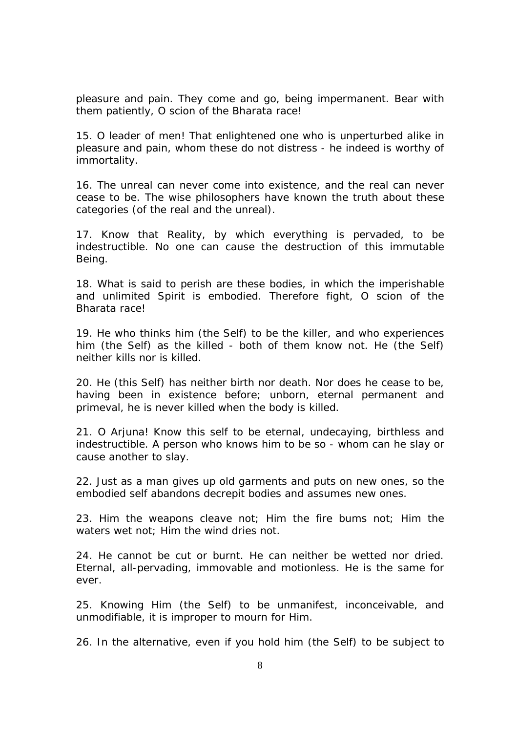pleasure and pain. They come and go, being impermanent. Bear with them patiently, O scion of the Bharata race!

15. O leader of men! That enlightened one who is unperturbed alike in pleasure and pain, whom these do not distress - he indeed is worthy of immortality.

16. The unreal can never come into existence, and the real can never cease to be. The wise philosophers have known the truth about these categories (of the real and the unreal).

17. Know that Reality, by which everything is pervaded, to be indestructible. No one can cause the destruction of this immutable Being.

18. What is said to perish are these bodies, in which the imperishable and unlimited Spirit is embodied. Therefore fight, O scion of the Bharata race!

19. He who thinks him (the Self) to be the killer, and who experiences him (the Self) as the killed - both of them know not. He (the Self) neither kills nor is killed.

20. He (this Self) has neither birth nor death. Nor does he cease to be, having been in existence before; unborn, eternal permanent and primeval, he is never killed when the body is killed.

21. O Arjuna! Know this self to be eternal, undecaying, birthless and indestructible. A person who knows him to be so - whom can he slay or cause another to slay.

22. Just as a man gives up old garments and puts on new ones, so the embodied self abandons decrepit bodies and assumes new ones.

23. Him the weapons cleave not; Him the fire bums not; Him the waters wet not; Him the wind dries not.

24. He cannot be cut or burnt. He can neither be wetted nor dried. Eternal, all-pervading, immovable and motionless. He is the same for ever.

25. Knowing Him (the Self) to be unmanifest, inconceivable, and unmodifiable, it is improper to mourn for Him.

26. In the alternative, even if you hold him (the Self) to be subject to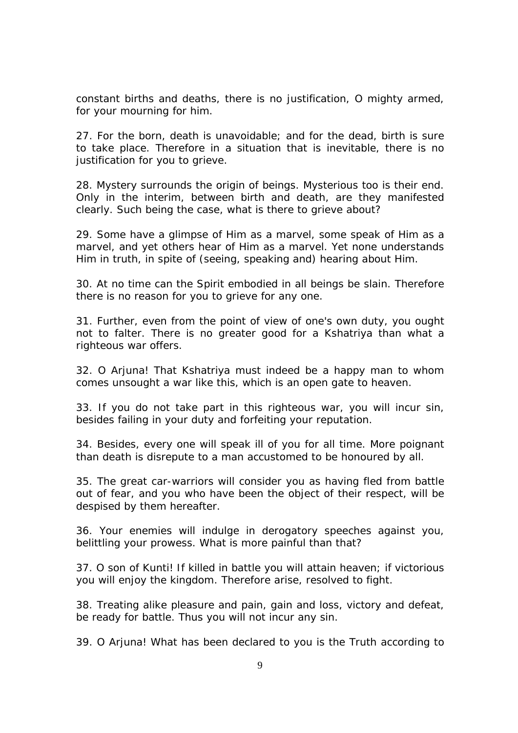constant births and deaths, there is no justification, O mighty armed, for your mourning for him.

27. For the born, death is unavoidable; and for the dead, birth is sure to take place. Therefore in a situation that is inevitable, there is no justification for you to grieve.

28. Mystery surrounds the origin of beings. Mysterious too is their end. Only in the interim, between birth and death, are they manifested clearly. Such being the case, what is there to grieve about?

29. Some have a glimpse of Him as a marvel, some speak of Him as a marvel, and yet others hear of Him as a marvel. Yet none understands Him in truth, in spite of (seeing, speaking and) hearing about Him.

30. At no time can the Spirit embodied in all beings be slain. Therefore there is no reason for you to grieve for any one.

31. Further, even from the point of view of one's own duty, you ought not to falter. There is no greater good for a Kshatriya than what a righteous war offers.

32. O Arjuna! That Kshatriya must indeed be a happy man to whom comes unsought a war like this, which is an open gate to heaven.

33. If you do not take part in this righteous war, you will incur sin, besides failing in your duty and forfeiting your reputation.

34. Besides, every one will speak ill of you for all time. More poignant than death is disrepute to a man accustomed to be honoured by all.

35. The great car-warriors will consider you as having fled from battle out of fear, and you who have been the object of their respect, will be despised by them hereafter.

36. Your enemies will indulge in derogatory speeches against you, belittling your prowess. What is more painful than that?

37. O son of Kunti! If killed in battle you will attain heaven; if victorious you will enjoy the kingdom. Therefore arise, resolved to fight.

38. Treating alike pleasure and pain, gain and loss, victory and defeat, be ready for battle. Thus you will not incur any sin.

39. O Arjuna! What has been declared to you is the Truth according to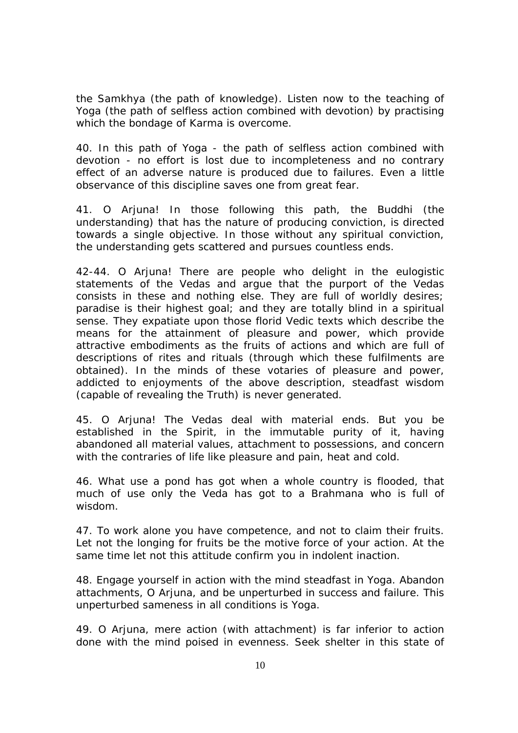the Samkhya (the path of knowledge). Listen now to the teaching of Yoga (the path of selfless action combined with devotion) by practising which the bondage of Karma is overcome.

40. In this path of Yoga - the path of selfless action combined with devotion - no effort is lost due to incompleteness and no contrary effect of an adverse nature is produced due to failures. Even a little observance of this discipline saves one from great fear.

41. O Arjuna! In those following this path, the Buddhi (the understanding) that has the nature of producing conviction, is directed towards a single objective. In those without any spiritual conviction, the understanding gets scattered and pursues countless ends.

42-44. O Arjuna! There are people who delight in the eulogistic statements of the Vedas and argue that the purport of the Vedas consists in these and nothing else. They are full of worldly desires; paradise is their highest goal; and they are totally blind in a spiritual sense. They expatiate upon those florid Vedic texts which describe the means for the attainment of pleasure and power, which provide attractive embodiments as the fruits of actions and which are full of descriptions of rites and rituals (through which these fulfilments are obtained). In the minds of these votaries of pleasure and power, addicted to enjoyments of the above description, steadfast wisdom (capable of revealing the Truth) is never generated.

45. O Arjuna! The Vedas deal with material ends. But you be established in the Spirit, in the immutable purity of it, having abandoned all material values, attachment to possessions, and concern with the contraries of life like pleasure and pain, heat and cold.

46. What use a pond has got when a whole country is flooded, that much of use only the Veda has got to a Brahmana who is full of wisdom.

47. To work alone you have competence, and not to claim their fruits. Let not the longing for fruits be the motive force of your action. At the same time let not this attitude confirm you in indolent inaction.

48. Engage yourself in action with the mind steadfast in Yoga. Abandon attachments, O Arjuna, and be unperturbed in success and failure. This unperturbed sameness in all conditions is Yoga.

49. O Arjuna, mere action (with attachment) is far inferior to action done with the mind poised in evenness. Seek shelter in this state of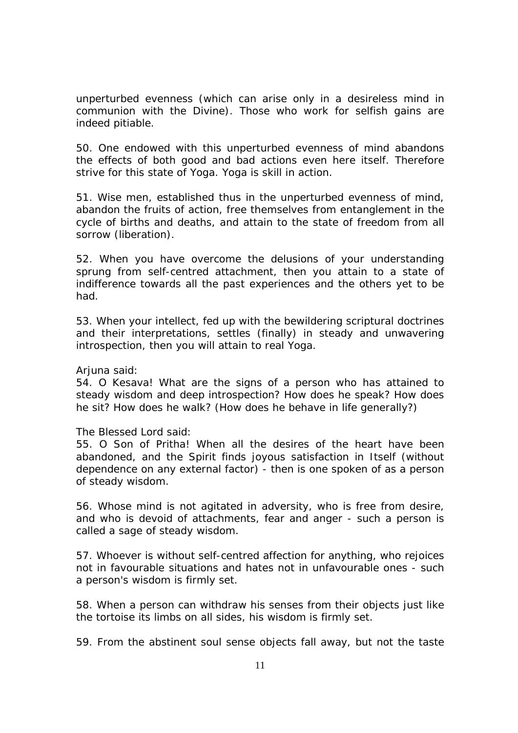unperturbed evenness (which can arise only in a desireless mind in communion with the Divine). Those who work for selfish gains are indeed pitiable.

50. One endowed with this unperturbed evenness of mind abandons the effects of both good and bad actions even here itself. Therefore strive for this state of Yoga. Yoga is skill in action.

51. Wise men, established thus in the unperturbed evenness of mind, abandon the fruits of action, free themselves from entanglement in the cycle of births and deaths, and attain to the state of freedom from all sorrow (liberation).

52. When you have overcome the delusions of your understanding sprung from self-centred attachment, then you attain to a state of indifference towards all the past experiences and the others yet to be had.

53. When your intellect, fed up with the bewildering scriptural doctrines and their interpretations, settles (finally) in steady and unwavering introspection, then you will attain to real Yoga.

Arjuna said:

54. O Kesava! What are the signs of a person who has attained to steady wisdom and deep introspection? How does he speak? How does he sit? How does he walk? (How does he behave in life generally?)

The Blessed Lord said:

55. O Son of Pritha! When all the desires of the heart have been abandoned, and the Spirit finds joyous satisfaction in Itself (without dependence on any external factor) - then is one spoken of as a person of steady wisdom.

56. Whose mind is not agitated in adversity, who is free from desire, and who is devoid of attachments, fear and anger - such a person is called a sage of steady wisdom.

57. Whoever is without self-centred affection for anything, who rejoices not in favourable situations and hates not in unfavourable ones - such a person's wisdom is firmly set.

58. When a person can withdraw his senses from their objects just like the tortoise its limbs on all sides, his wisdom is firmly set.

59. From the abstinent soul sense objects fall away, but not the taste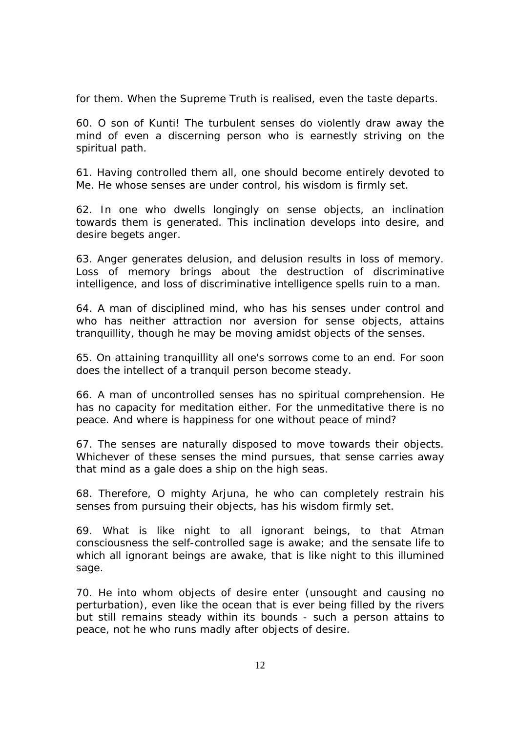for them. When the Supreme Truth is realised, even the taste departs.

60. O son of Kunti! The turbulent senses do violently draw away the mind of even a discerning person who is earnestly striving on the spiritual path.

61. Having controlled them all, one should become entirely devoted to Me. He whose senses are under control, his wisdom is firmly set.

62. In one who dwells longingly on sense objects, an inclination towards them is generated. This inclination develops into desire, and desire begets anger.

63. Anger generates delusion, and delusion results in loss of memory. Loss of memory brings about the destruction of discriminative intelligence, and loss of discriminative intelligence spells ruin to a man.

64. A man of disciplined mind, who has his senses under control and who has neither attraction nor aversion for sense objects, attains tranquillity, though he may be moving amidst objects of the senses.

65. On attaining tranquillity all one's sorrows come to an end. For soon does the intellect of a tranquil person become steady.

66. A man of uncontrolled senses has no spiritual comprehension. He has no capacity for meditation either. For the unmeditative there is no peace. And where is happiness for one without peace of mind?

67. The senses are naturally disposed to move towards their objects. Whichever of these senses the mind pursues, that sense carries away that mind as a gale does a ship on the high seas.

68. Therefore, O mighty Arjuna, he who can completely restrain his senses from pursuing their objects, has his wisdom firmly set.

69. What is like night to all ignorant beings, to that Atman consciousness the self-controlled sage is awake; and the sensate life to which all ignorant beings are awake, that is like night to this illumined sage.

70. He into whom objects of desire enter (unsought and causing no perturbation), even like the ocean that is ever being filled by the rivers but still remains steady within its bounds - such a person attains to peace, not he who runs madly after objects of desire.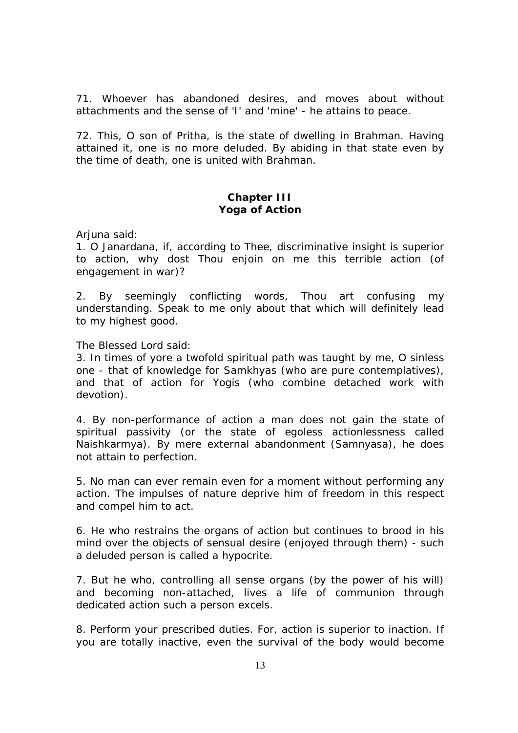71. Whoever has abandoned desires, and moves about without attachments and the sense of 'I' and 'mine' - he attains to peace.

72. This, O son of Pritha, is the state of dwelling in Brahman. Having attained it, one is no more deluded. By abiding in that state even by the time of death, one is united with Brahman.

# **Chapter III Yoga of Action**

Arjuna said:

1. O Janardana, if, according to Thee, discriminative insight is superior to action, why dost Thou enjoin on me this terrible action (of engagement in war)?

2. By seemingly conflicting words, Thou art confusing my understanding. Speak to me only about that which will definitely lead to my highest good.

The Blessed Lord said:

3. In times of yore a twofold spiritual path was taught by me, O sinless one - that of knowledge for Samkhyas (who are pure contemplatives), and that of action for Yogis (who combine detached work with devotion).

4. By non-performance of action a man does not gain the state of spiritual passivity (or the state of egoless actionlessness called Naishkarmya). By mere external abandonment (Samnyasa), he does not attain to perfection.

5. No man can ever remain even for a moment without performing any action. The impulses of nature deprive him of freedom in this respect and compel him to act.

6. He who restrains the organs of action but continues to brood in his mind over the objects of sensual desire (enjoyed through them) - such a deluded person is called a hypocrite.

7. But he who, controlling all sense organs (by the power of his will) and becoming non-attached, lives a life of communion through dedicated action such a person excels.

8. Perform your prescribed duties. For, action is superior to inaction. If you are totally inactive, even the survival of the body would become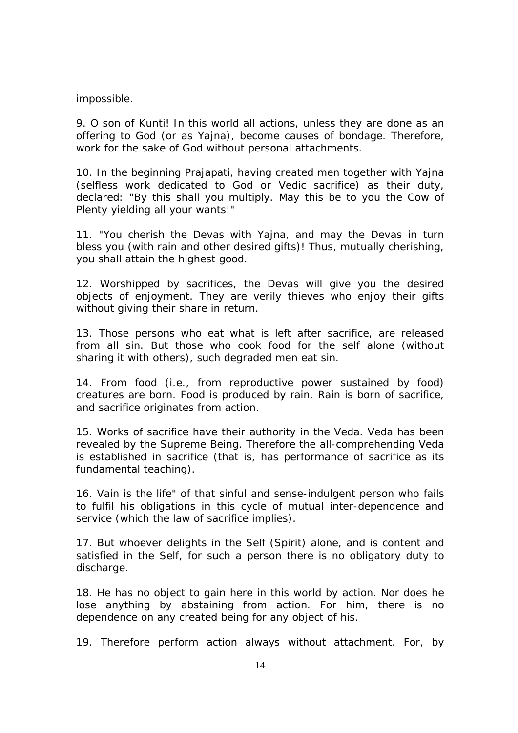impossible.

9. O son of Kunti! In this world all actions, unless they are done as an offering to God (or as Yajna), become causes of bondage. Therefore, work for the sake of God without personal attachments.

10. In the beginning Prajapati, having created men together with Yajna (selfless work dedicated to God or Vedic sacrifice) as their duty, declared: "By this shall you multiply. May this be to you the Cow of Plenty yielding all your wants!"

11. "You cherish the Devas with Yajna, and may the Devas in turn bless you (with rain and other desired gifts)! Thus, mutually cherishing, you shall attain the highest good.

12. Worshipped by sacrifices, the Devas will give you the desired objects of enjoyment. They are verily thieves who enjoy their gifts without giving their share in return.

13. Those persons who eat what is left after sacrifice, are released from all sin. But those who cook food for the self alone (without sharing it with others), such degraded men eat sin.

14. From food (i.e., from reproductive power sustained by food) creatures are born. Food is produced by rain. Rain is born of sacrifice, and sacrifice originates from action.

15. Works of sacrifice have their authority in the Veda. Veda has been revealed by the Supreme Being. Therefore the all-comprehending Veda is established in sacrifice (that is, has performance of sacrifice as its fundamental teaching).

16. Vain is the life" of that sinful and sense-indulgent person who fails to fulfil his obligations in this cycle of mutual inter-dependence and service (which the law of sacrifice implies).

17. But whoever delights in the Self (Spirit) alone, and is content and satisfied in the Self, for such a person there is no obligatory duty to discharge.

18. He has no object to gain here in this world by action. Nor does he lose anything by abstaining from action. For him, there is no dependence on any created being for any object of his.

19. Therefore perform action always without attachment. For, by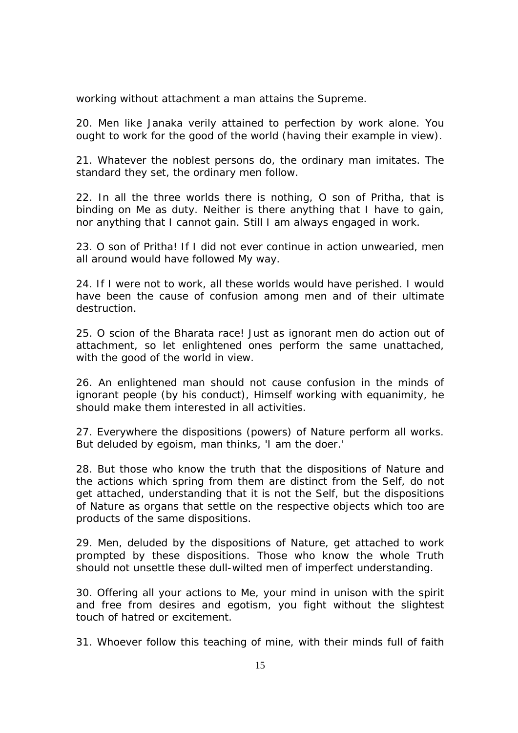working without attachment a man attains the Supreme.

20. Men like Janaka verily attained to perfection by work alone. You ought to work for the good of the world (having their example in view).

21. Whatever the noblest persons do, the ordinary man imitates. The standard they set, the ordinary men follow.

22. In all the three worlds there is nothing, O son of Pritha, that is binding on Me as duty. Neither is there anything that I have to gain, nor anything that I cannot gain. Still I am always engaged in work.

23. O son of Pritha! If I did not ever continue in action unwearied, men all around would have followed My way.

24. If I were not to work, all these worlds would have perished. I would have been the cause of confusion among men and of their ultimate destruction.

25. O scion of the Bharata race! Just as ignorant men do action out of attachment, so let enlightened ones perform the same unattached, with the good of the world in view.

26. An enlightened man should not cause confusion in the minds of ignorant people (by his conduct), Himself working with equanimity, he should make them interested in all activities.

27. Everywhere the dispositions (powers) of Nature perform all works. But deluded by egoism, man thinks, 'I am the doer.'

28. But those who know the truth that the dispositions of Nature and the actions which spring from them are distinct from the Self, do not get attached, understanding that it is not the Self, but the dispositions of Nature as organs that settle on the respective objects which too are products of the same dispositions.

29. Men, deluded by the dispositions of Nature, get attached to work prompted by these dispositions. Those who know the whole Truth should not unsettle these dull-wilted men of imperfect understanding.

30. Offering all your actions to Me, your mind in unison with the spirit and free from desires and egotism, you fight without the slightest touch of hatred or excitement.

31. Whoever follow this teaching of mine, with their minds full of faith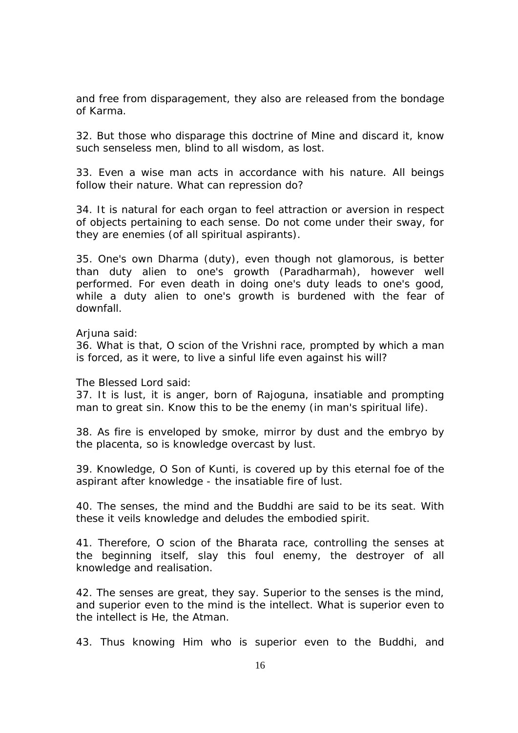and free from disparagement, they also are released from the bondage of Karma.

32. But those who disparage this doctrine of Mine and discard it, know such senseless men, blind to all wisdom, as lost.

33. Even a wise man acts in accordance with his nature. All beings follow their nature. What can repression do?

34. It is natural for each organ to feel attraction or aversion in respect of objects pertaining to each sense. Do not come under their sway, for they are enemies (of all spiritual aspirants).

35. One's own Dharma (duty), even though not glamorous, is better than duty alien to one's growth (Paradharmah), however well performed. For even death in doing one's duty leads to one's good, while a duty alien to one's growth is burdened with the fear of downfall.

Arjuna said:

36. What is that, O scion of the Vrishni race, prompted by which a man is forced, as it were, to live a sinful life even against his will?

The Blessed Lord said:

37. It is lust, it is anger, born of Rajoguna, insatiable and prompting man to great sin. Know this to be the enemy (in man's spiritual life).

38. As fire is enveloped by smoke, mirror by dust and the embryo by the placenta, so is knowledge overcast by lust.

39. Knowledge, O Son of Kunti, is covered up by this eternal foe of the aspirant after knowledge - the insatiable fire of lust.

40. The senses, the mind and the Buddhi are said to be its seat. With these it veils knowledge and deludes the embodied spirit.

41. Therefore, O scion of the Bharata race, controlling the senses at the beginning itself, slay this foul enemy, the destroyer of all knowledge and realisation.

42. The senses are great, they say. Superior to the senses is the mind, and superior even to the mind is the intellect. What is superior even to the intellect is He, the Atman.

43. Thus knowing Him who is superior even to the Buddhi, and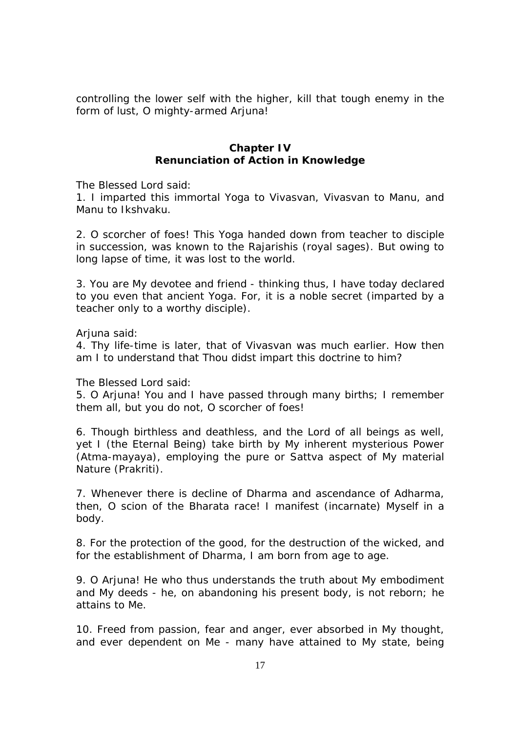controlling the lower self with the higher, kill that tough enemy in the form of lust, O mighty-armed Arjuna!

# **Chapter IV Renunciation of Action in Knowledge**

The Blessed Lord said:

1. I imparted this immortal Yoga to Vivasvan, Vivasvan to Manu, and Manu to Ikshvaku.

2. O scorcher of foes! This Yoga handed down from teacher to disciple in succession, was known to the Rajarishis (royal sages). But owing to long lapse of time, it was lost to the world.

3. You are My devotee and friend - thinking thus, I have today declared to you even that ancient Yoga. For, it is a noble secret (imparted by a teacher only to a worthy disciple).

Arjuna said:

4. Thy life-time is later, that of Vivasvan was much earlier. How then am I to understand that Thou didst impart this doctrine to him?

The Blessed Lord said:

5. O Arjuna! You and I have passed through many births; I remember them all, but you do not, O scorcher of foes!

6. Though birthless and deathless, and the Lord of all beings as well, yet I (the Eternal Being) take birth by My inherent mysterious Power (Atma-mayaya), employing the pure or Sattva aspect of My material Nature (Prakriti).

7. Whenever there is decline of Dharma and ascendance of Adharma, then, O scion of the Bharata race! I manifest (incarnate) Myself in a body.

8. For the protection of the good, for the destruction of the wicked, and for the establishment of Dharma, I am born from age to age.

9. O Arjuna! He who thus understands the truth about My embodiment and My deeds - he, on abandoning his present body, is not reborn; he attains to Me.

10. Freed from passion, fear and anger, ever absorbed in My thought, and ever dependent on Me - many have attained to My state, being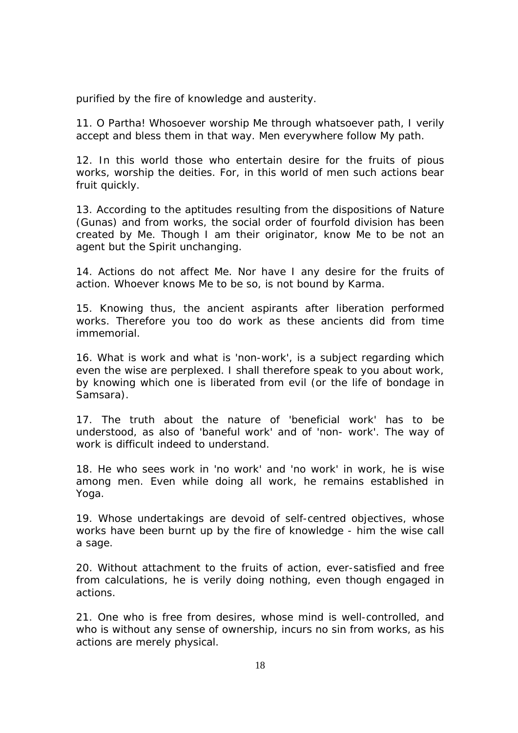purified by the fire of knowledge and austerity.

11. O Partha! Whosoever worship Me through whatsoever path, I verily accept and bless them in that way. Men everywhere follow My path.

12. In this world those who entertain desire for the fruits of pious works, worship the deities. For, in this world of men such actions bear fruit quickly.

13. According to the aptitudes resulting from the dispositions of Nature (Gunas) and from works, the social order of fourfold division has been created by Me. Though I am their originator, know Me to be not an agent but the Spirit unchanging.

14. Actions do not affect Me. Nor have I any desire for the fruits of action. Whoever knows Me to be so, is not bound by Karma.

15. Knowing thus, the ancient aspirants after liberation performed works. Therefore you too do work as these ancients did from time immemorial.

16. What is work and what is 'non-work', is a subject regarding which even the wise are perplexed. I shall therefore speak to you about work, by knowing which one is liberated from evil (or the life of bondage in Samsara).

17. The truth about the nature of 'beneficial work' has to be understood, as also of 'baneful work' and of 'non- work'. The way of work is difficult indeed to understand.

18. He who sees work in 'no work' and 'no work' in work, he is wise among men. Even while doing all work, he remains established in Yoga.

19. Whose undertakings are devoid of self-centred objectives, whose works have been burnt up by the fire of knowledge - him the wise call a sage.

20. Without attachment to the fruits of action, ever-satisfied and free from calculations, he is verily doing nothing, even though engaged in actions.

21. One who is free from desires, whose mind is well-controlled, and who is without any sense of ownership, incurs no sin from works, as his actions are merely physical.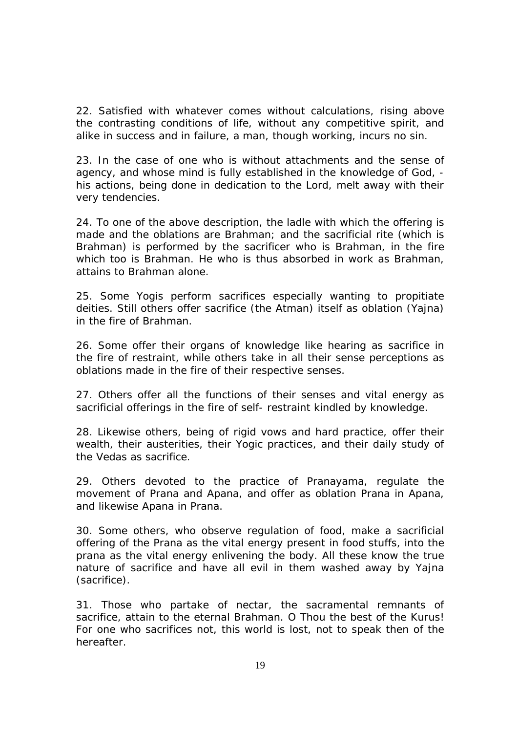22. Satisfied with whatever comes without calculations, rising above the contrasting conditions of life, without any competitive spirit, and alike in success and in failure, a man, though working, incurs no sin.

23. In the case of one who is without attachments and the sense of agency, and whose mind is fully established in the knowledge of God, his actions, being done in dedication to the Lord, melt away with their very tendencies.

24. To one of the above description, the ladle with which the offering is made and the oblations are Brahman; and the sacrificial rite (which is Brahman) is performed by the sacrificer who is Brahman, in the fire which too is Brahman. He who is thus absorbed in work as Brahman, attains to Brahman alone.

25. Some Yogis perform sacrifices especially wanting to propitiate deities. Still others offer sacrifice (the Atman) itself as oblation (Yajna) in the fire of Brahman.

26. Some offer their organs of knowledge like hearing as sacrifice in the fire of restraint, while others take in all their sense perceptions as oblations made in the fire of their respective senses.

27. Others offer all the functions of their senses and vital energy as sacrificial offerings in the fire of self- restraint kindled by knowledge.

28. Likewise others, being of rigid vows and hard practice, offer their wealth, their austerities, their Yogic practices, and their daily study of the Vedas as sacrifice.

29. Others devoted to the practice of Pranayama, regulate the movement of Prana and Apana, and offer as oblation Prana in Apana, and likewise Apana in Prana.

30. Some others, who observe regulation of food, make a sacrificial offering of the Prana as the vital energy present in food stuffs, into the prana as the vital energy enlivening the body. All these know the true nature of sacrifice and have all evil in them washed away by Yajna (sacrifice).

31. Those who partake of nectar, the sacramental remnants of sacrifice, attain to the eternal Brahman. O Thou the best of the Kurus! For one who sacrifices not, this world is lost, not to speak then of the hereafter.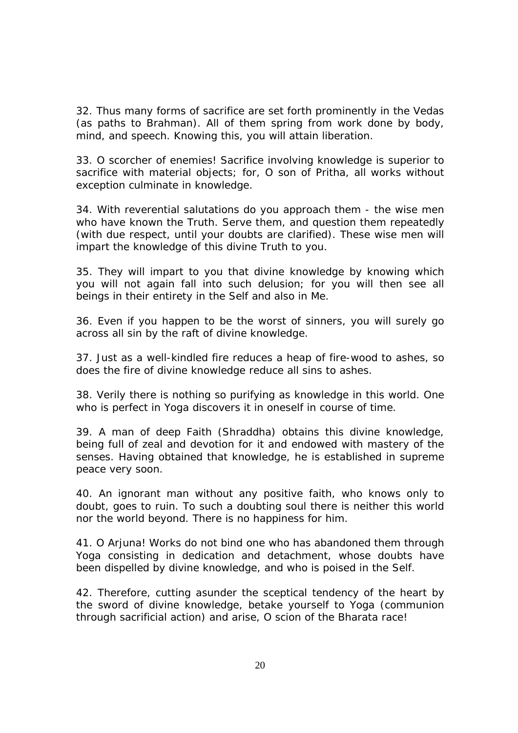32. Thus many forms of sacrifice are set forth prominently in the Vedas (as paths to Brahman). All of them spring from work done by body, mind, and speech. Knowing this, you will attain liberation.

33. O scorcher of enemies! Sacrifice involving knowledge is superior to sacrifice with material objects; for, O son of Pritha, all works without exception culminate in knowledge.

34. With reverential salutations do you approach them - the wise men who have known the Truth. Serve them, and question them repeatedly (with due respect, until your doubts are clarified). These wise men will impart the knowledge of this divine Truth to you.

35. They will impart to you that divine knowledge by knowing which you will not again fall into such delusion; for you will then see all beings in their entirety in the Self and also in Me.

36. Even if you happen to be the worst of sinners, you will surely go across all sin by the raft of divine knowledge.

37. Just as a well-kindled fire reduces a heap of fire-wood to ashes, so does the fire of divine knowledge reduce all sins to ashes.

38. Verily there is nothing so purifying as knowledge in this world. One who is perfect in Yoga discovers it in oneself in course of time.

39. A man of deep Faith (Shraddha) obtains this divine knowledge, being full of zeal and devotion for it and endowed with mastery of the senses. Having obtained that knowledge, he is established in supreme peace very soon.

40. An ignorant man without any positive faith, who knows only to doubt, goes to ruin. To such a doubting soul there is neither this world nor the world beyond. There is no happiness for him.

41. O Arjuna! Works do not bind one who has abandoned them through Yoga consisting in dedication and detachment, whose doubts have been dispelled by divine knowledge, and who is poised in the Self.

42. Therefore, cutting asunder the sceptical tendency of the heart by the sword of divine knowledge, betake yourself to Yoga (communion through sacrificial action) and arise, O scion of the Bharata race!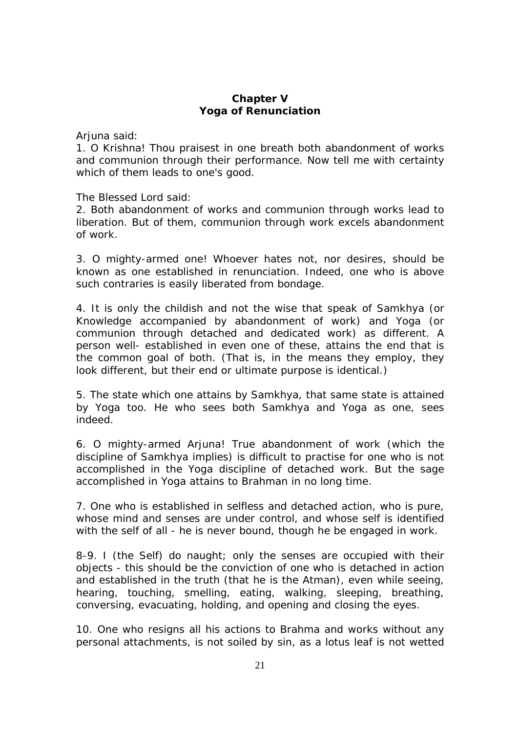# **Chapter V Yoga of Renunciation**

Arjuna said:

1. O Krishna! Thou praisest in one breath both abandonment of works and communion through their performance. Now tell me with certainty which of them leads to one's good.

The Blessed Lord said:

2. Both abandonment of works and communion through works lead to liberation. But of them, communion through work excels abandonment of work.

3. O mighty-armed one! Whoever hates not, nor desires, should be known as one established in renunciation. Indeed, one who is above such contraries is easily liberated from bondage.

4. It is only the childish and not the wise that speak of Samkhya (or Knowledge accompanied by abandonment of work) and Yoga (or communion through detached and dedicated work) as different. A person well- established in even one of these, attains the end that is the common goal of both. (That is, in the means they employ, they look different, but their end or ultimate purpose is identical.)

5. The state which one attains by Samkhya, that same state is attained by Yoga too. He who sees both Samkhya and Yoga as one, sees indeed.

6. O mighty-armed Arjuna! True abandonment of work (which the discipline of Samkhya implies) is difficult to practise for one who is not accomplished in the Yoga discipline of detached work. But the sage accomplished in Yoga attains to Brahman in no long time.

7. One who is established in selfless and detached action, who is pure, whose mind and senses are under control, and whose self is identified with the self of all - he is never bound, though he be engaged in work.

8-9. I (the Self) do naught; only the senses are occupied with their objects - this should be the conviction of one who is detached in action and established in the truth (that he is the Atman), even while seeing, hearing, touching, smelling, eating, walking, sleeping, breathing, conversing, evacuating, holding, and opening and closing the eyes.

10. One who resigns all his actions to Brahma and works without any personal attachments, is not soiled by sin, as a lotus leaf is not wetted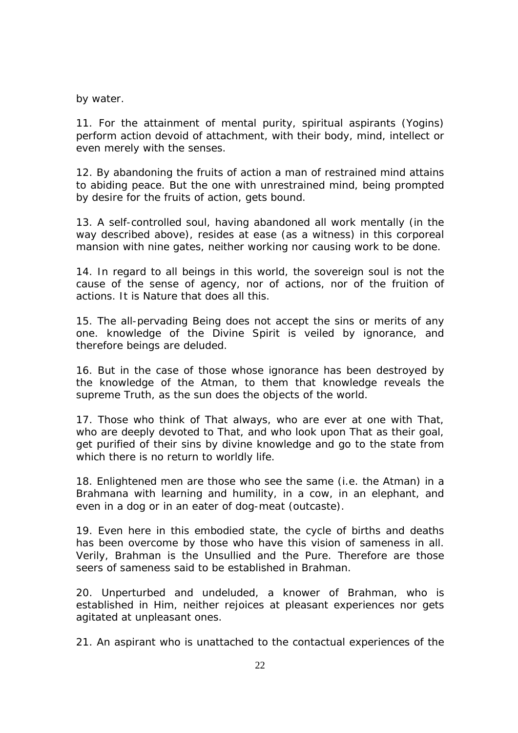by water.

11. For the attainment of mental purity, spiritual aspirants (Yogins) perform action devoid of attachment, with their body, mind, intellect or even merely with the senses.

12. By abandoning the fruits of action a man of restrained mind attains to abiding peace. But the one with unrestrained mind, being prompted by desire for the fruits of action, gets bound.

13. A self-controlled soul, having abandoned all work mentally (in the way described above), resides at ease (as a witness) in this corporeal mansion with nine gates, neither working nor causing work to be done.

14. In regard to all beings in this world, the sovereign soul is not the cause of the sense of agency, nor of actions, nor of the fruition of actions. It is Nature that does all this.

15. The all-pervading Being does not accept the sins or merits of any one. knowledge of the Divine Spirit is veiled by ignorance, and therefore beings are deluded.

16. But in the case of those whose ignorance has been destroyed by the knowledge of the Atman, to them that knowledge reveals the supreme Truth, as the sun does the objects of the world.

17. Those who think of That always, who are ever at one with That, who are deeply devoted to That, and who look upon That as their goal, get purified of their sins by divine knowledge and go to the state from which there is no return to worldly life.

18. Enlightened men are those who see the same (i.e. the Atman) in a Brahmana with learning and humility, in a cow, in an elephant, and even in a dog or in an eater of dog-meat (outcaste).

19. Even here in this embodied state, the cycle of births and deaths has been overcome by those who have this vision of sameness in all. Verily, Brahman is the Unsullied and the Pure. Therefore are those seers of sameness said to be established in Brahman.

20. Unperturbed and undeluded, a knower of Brahman, who is established in Him, neither rejoices at pleasant experiences nor gets agitated at unpleasant ones.

21. An aspirant who is unattached to the contactual experiences of the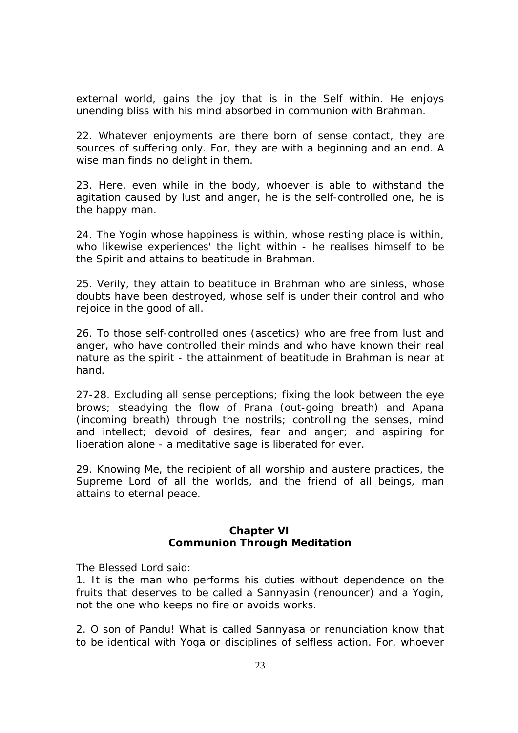external world, gains the joy that is in the Self within. He enjoys unending bliss with his mind absorbed in communion with Brahman.

22. Whatever enjoyments are there born of sense contact, they are sources of suffering only. For, they are with a beginning and an end. A wise man finds no delight in them.

23. Here, even while in the body, whoever is able to withstand the agitation caused by lust and anger, he is the self-controlled one, he is the happy man.

24. The Yogin whose happiness is within, whose resting place is within, who likewise experiences' the light within - he realises himself to be the Spirit and attains to beatitude in Brahman.

25. Verily, they attain to beatitude in Brahman who are sinless, whose doubts have been destroyed, whose self is under their control and who rejoice in the good of all.

26. To those self-controlled ones (ascetics) who are free from lust and anger, who have controlled their minds and who have known their real nature as the spirit - the attainment of beatitude in Brahman is near at hand.

27-28. Excluding all sense perceptions; fixing the look between the eye brows; steadying the flow of Prana (out-going breath) and Apana (incoming breath) through the nostrils; controlling the senses, mind and intellect; devoid of desires, fear and anger; and aspiring for liberation alone - a meditative sage is liberated for ever.

29. Knowing Me, the recipient of all worship and austere practices, the Supreme Lord of all the worlds, and the friend of all beings, man attains to eternal peace.

# **Chapter VI Communion Through Meditation**

The Blessed Lord said:

1. It is the man who performs his duties without dependence on the fruits that deserves to be called a Sannyasin (renouncer) and a Yogin, not the one who keeps no fire or avoids works.

2. O son of Pandu! What is called Sannyasa or renunciation know that to be identical with Yoga or disciplines of selfless action. For, whoever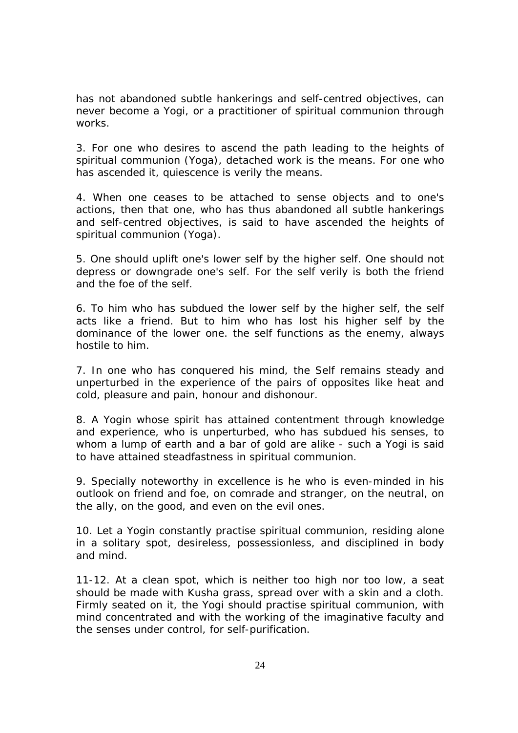has not abandoned subtle hankerings and self-centred objectives, can never become a Yogi, or a practitioner of spiritual communion through works.

3. For one who desires to ascend the path leading to the heights of spiritual communion (Yoga), detached work is the means. For one who has ascended it, quiescence is verily the means.

4. When one ceases to be attached to sense objects and to one's actions, then that one, who has thus abandoned all subtle hankerings and self-centred objectives, is said to have ascended the heights of spiritual communion (Yoga).

5. One should uplift one's lower self by the higher self. One should not depress or downgrade one's self. For the self verily is both the friend and the foe of the self.

6. To him who has subdued the lower self by the higher self, the self acts like a friend. But to him who has lost his higher self by the dominance of the lower one. the self functions as the enemy, always hostile to him.

7. In one who has conquered his mind, the Self remains steady and unperturbed in the experience of the pairs of opposites like heat and cold, pleasure and pain, honour and dishonour.

8. A Yogin whose spirit has attained contentment through knowledge and experience, who is unperturbed, who has subdued his senses, to whom a lump of earth and a bar of gold are alike - such a Yogi is said to have attained steadfastness in spiritual communion.

9. Specially noteworthy in excellence is he who is even-minded in his outlook on friend and foe, on comrade and stranger, on the neutral, on the ally, on the good, and even on the evil ones.

10. Let a Yogin constantly practise spiritual communion, residing alone in a solitary spot, desireless, possessionless, and disciplined in body and mind.

11-12. At a clean spot, which is neither too high nor too low, a seat should be made with Kusha grass, spread over with a skin and a cloth. Firmly seated on it, the Yogi should practise spiritual communion, with mind concentrated and with the working of the imaginative faculty and the senses under control, for self-purification.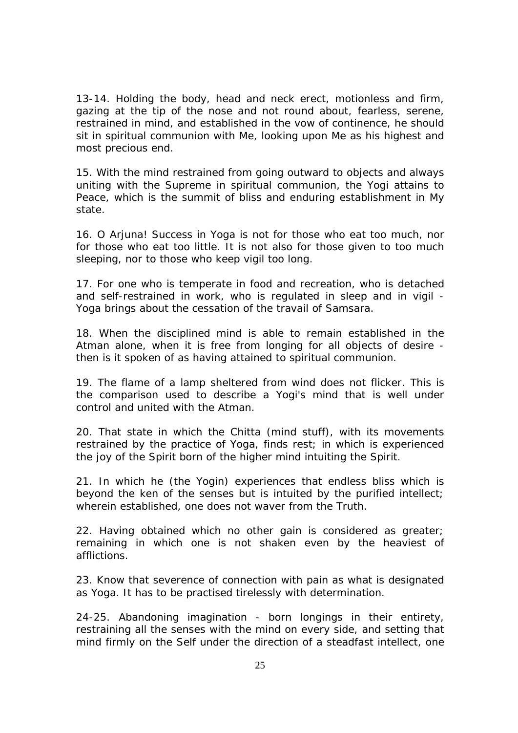13-14. Holding the body, head and neck erect, motionless and firm, gazing at the tip of the nose and not round about, fearless, serene, restrained in mind, and established in the vow of continence, he should sit in spiritual communion with Me, looking upon Me as his highest and most precious end.

15. With the mind restrained from going outward to objects and always uniting with the Supreme in spiritual communion, the Yogi attains to Peace, which is the summit of bliss and enduring establishment in My state.

16. O Arjuna! Success in Yoga is not for those who eat too much, nor for those who eat too little. It is not also for those given to too much sleeping, nor to those who keep vigil too long.

17. For one who is temperate in food and recreation, who is detached and self-restrained in work, who is regulated in sleep and in vigil - Yoga brings about the cessation of the travail of Samsara.

18. When the disciplined mind is able to remain established in the Atman alone, when it is free from longing for all objects of desire then is it spoken of as having attained to spiritual communion.

19. The flame of a lamp sheltered from wind does not flicker. This is the comparison used to describe a Yogi's mind that is well under control and united with the Atman.

20. That state in which the Chitta (mind stuff), with its movements restrained by the practice of Yoga, finds rest; in which is experienced the joy of the Spirit born of the higher mind intuiting the Spirit.

21. In which he (the Yogin) experiences that endless bliss which is beyond the ken of the senses but is intuited by the purified intellect; wherein established, one does not waver from the Truth.

22. Having obtained which no other gain is considered as greater; remaining in which one is not shaken even by the heaviest of afflictions.

23. Know that severence of connection with pain as what is designated as Yoga. It has to be practised tirelessly with determination.

24-25. Abandoning imagination - born longings in their entirety, restraining all the senses with the mind on every side, and setting that mind firmly on the Self under the direction of a steadfast intellect, one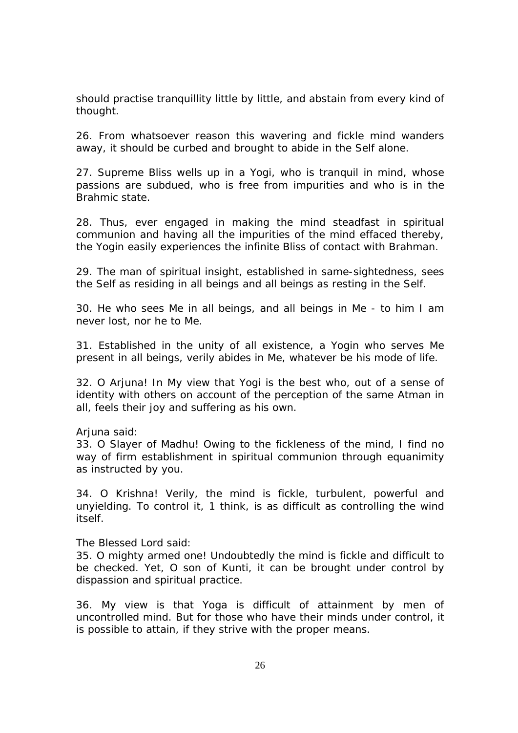should practise tranquillity little by little, and abstain from every kind of thought.

26. From whatsoever reason this wavering and fickle mind wanders away, it should be curbed and brought to abide in the Self alone.

27. Supreme Bliss wells up in a Yogi, who is tranquil in mind, whose passions are subdued, who is free from impurities and who is in the Brahmic state.

28. Thus, ever engaged in making the mind steadfast in spiritual communion and having all the impurities of the mind effaced thereby, the Yogin easily experiences the infinite Bliss of contact with Brahman.

29. The man of spiritual insight, established in same-sightedness, sees the Self as residing in all beings and all beings as resting in the Self.

30. He who sees Me in all beings, and all beings in Me - to him I am never lost, nor he to Me.

31. Established in the unity of all existence, a Yogin who serves Me present in all beings, verily abides in Me, whatever be his mode of life.

32. O Arjuna! In My view that Yogi is the best who, out of a sense of identity with others on account of the perception of the same Atman in all, feels their joy and suffering as his own.

Arjuna said:

33. O Slayer of Madhu! Owing to the fickleness of the mind, I find no way of firm establishment in spiritual communion through equanimity as instructed by you.

34. O Krishna! Verily, the mind is fickle, turbulent, powerful and unyielding. To control it, 1 think, is as difficult as controlling the wind itself.

The Blessed Lord said:

35. O mighty armed one! Undoubtedly the mind is fickle and difficult to be checked. Yet, O son of Kunti, it can be brought under control by dispassion and spiritual practice.

36. My view is that Yoga is difficult of attainment by men of uncontrolled mind. But for those who have their minds under control, it is possible to attain, if they strive with the proper means.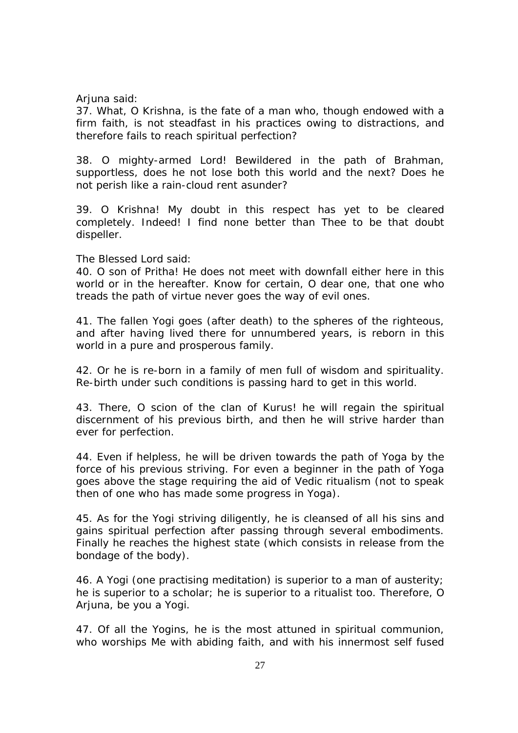Arjuna said:

37. What, O Krishna, is the fate of a man who, though endowed with a firm faith, is not steadfast in his practices owing to distractions, and therefore fails to reach spiritual perfection?

38. O mighty-armed Lord! Bewildered in the path of Brahman, supportless, does he not lose both this world and the next? Does he not perish like a rain-cloud rent asunder?

39. O Krishna! My doubt in this respect has yet to be cleared completely. Indeed! I find none better than Thee to be that doubt dispeller.

The Blessed Lord said:

40. O son of Pritha! He does not meet with downfall either here in this world or in the hereafter. Know for certain, O dear one, that one who treads the path of virtue never goes the way of evil ones.

41. The fallen Yogi goes (after death) to the spheres of the righteous, and after having lived there for unnumbered years, is reborn in this world in a pure and prosperous family.

42. Or he is re-born in a family of men full of wisdom and spirituality. Re-birth under such conditions is passing hard to get in this world.

43. There, O scion of the clan of Kurus! he will regain the spiritual discernment of his previous birth, and then he will strive harder than ever for perfection.

44. Even if helpless, he will be driven towards the path of Yoga by the force of his previous striving. For even a beginner in the path of Yoga goes above the stage requiring the aid of Vedic ritualism (not to speak then of one who has made some progress in Yoga).

45. As for the Yogi striving diligently, he is cleansed of all his sins and gains spiritual perfection after passing through several embodiments. Finally he reaches the highest state (which consists in release from the bondage of the body).

46. A Yogi (one practising meditation) is superior to a man of austerity; he is superior to a scholar; he is superior to a ritualist too. Therefore, O Arjuna, be you a Yogi.

47. Of all the Yogins, he is the most attuned in spiritual communion, who worships Me with abiding faith, and with his innermost self fused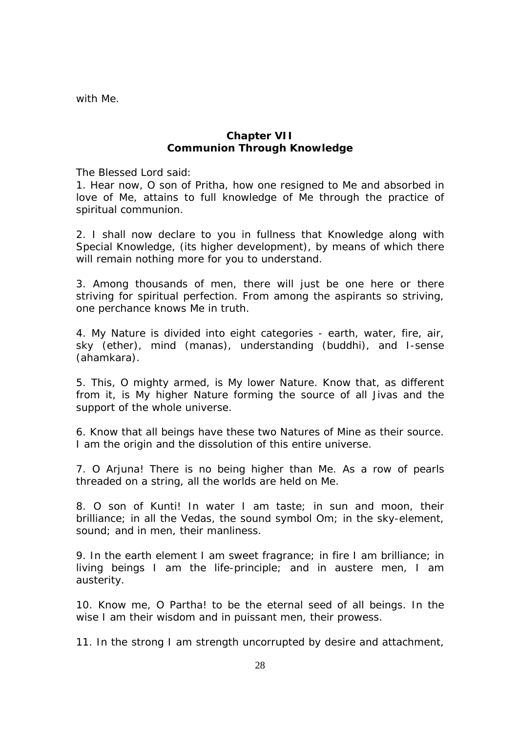with Me.

# **Chapter VII Communion Through Knowledge**

The Blessed Lord said:

1. Hear now, O son of Pritha, how one resigned to Me and absorbed in love of Me, attains to full knowledge of Me through the practice of spiritual communion.

2. I shall now declare to you in fullness that Knowledge along with Special Knowledge, (its higher development), by means of which there will remain nothing more for you to understand.

3. Among thousands of men, there will just be one here or there striving for spiritual perfection. From among the aspirants so striving, one perchance knows Me in truth.

4. My Nature is divided into eight categories - earth, water, fire, air, sky (ether), mind (manas), understanding (buddhi), and I-sense (ahamkara).

5. This, O mighty armed, is My lower Nature. Know that, as different from it, is My higher Nature forming the source of all Jivas and the support of the whole universe.

6. Know that all beings have these two Natures of Mine as their source. I am the origin and the dissolution of this entire universe.

7. O Arjuna! There is no being higher than Me. As a row of pearls threaded on a string, all the worlds are held on Me.

8. O son of Kunti! In water I am taste; in sun and moon, their brilliance; in all the Vedas, the sound symbol Om; in the sky-element, sound; and in men, their manliness.

9. In the earth element I am sweet fragrance; in fire I am brilliance; in living beings I am the life-principle; and in austere men, I am austerity.

10. Know me, O Partha! to be the eternal seed of all beings. In the wise I am their wisdom and in puissant men, their prowess.

11. In the strong I am strength uncorrupted by desire and attachment,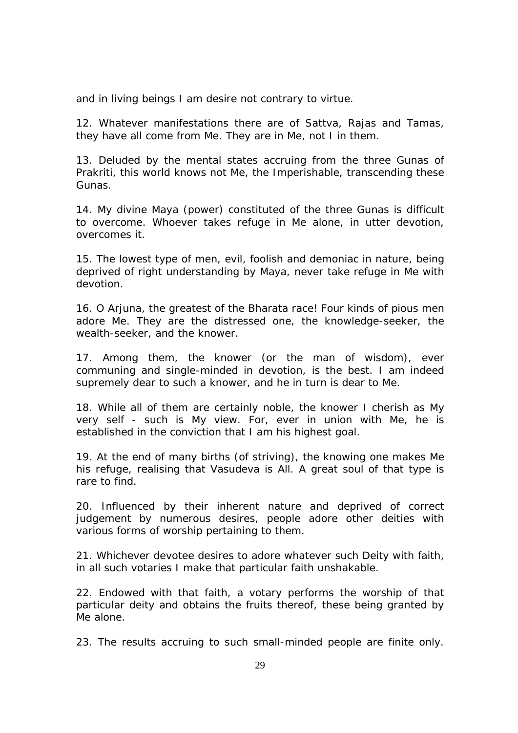and in living beings I am desire not contrary to virtue.

12. Whatever manifestations there are of Sattva, Rajas and Tamas, they have all come from Me. They are in Me, not I in them.

13. Deluded by the mental states accruing from the three Gunas of Prakriti, this world knows not Me, the Imperishable, transcending these Gunas.

14. My divine Maya (power) constituted of the three Gunas is difficult to overcome. Whoever takes refuge in Me alone, in utter devotion, overcomes it.

15. The lowest type of men, evil, foolish and demoniac in nature, being deprived of right understanding by Maya, never take refuge in Me with devotion.

16. O Arjuna, the greatest of the Bharata race! Four kinds of pious men adore Me. They are the distressed one, the knowledge-seeker, the wealth-seeker, and the knower.

17. Among them, the knower (or the man of wisdom), ever communing and single-minded in devotion, is the best. I am indeed supremely dear to such a knower, and he in turn is dear to Me.

18. While all of them are certainly noble, the knower I cherish as My very self - such is My view. For, ever in union with Me, he is established in the conviction that I am his highest goal.

19. At the end of many births (of striving), the knowing one makes Me his refuge, realising that Vasudeva is All. A great soul of that type is rare to find.

20. Influenced by their inherent nature and deprived of correct judgement by numerous desires, people adore other deities with various forms of worship pertaining to them.

21. Whichever devotee desires to adore whatever such Deity with faith, in all such votaries I make that particular faith unshakable.

22. Endowed with that faith, a votary performs the worship of that particular deity and obtains the fruits thereof, these being granted by Me alone.

23. The results accruing to such small-minded people are finite only.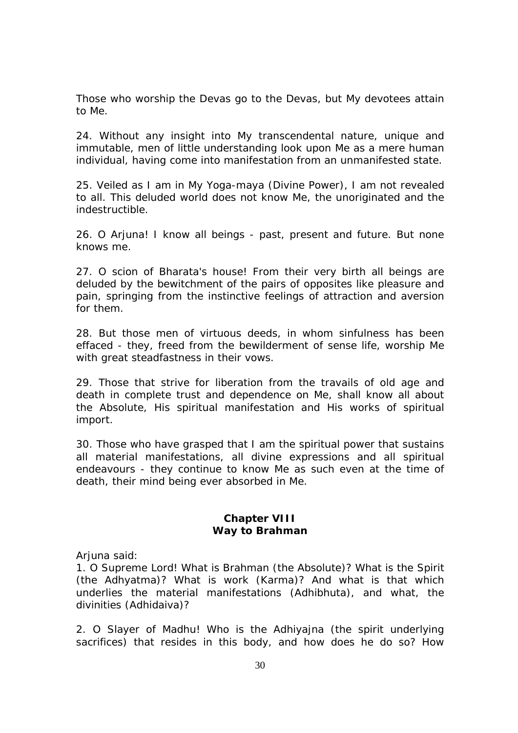Those who worship the Devas go to the Devas, but My devotees attain to Me.

24. Without any insight into My transcendental nature, unique and immutable, men of little understanding look upon Me as a mere human individual, having come into manifestation from an unmanifested state.

25. Veiled as I am in My Yoga-maya (Divine Power), I am not revealed to all. This deluded world does not know Me, the unoriginated and the indestructible.

26. O Arjuna! I know all beings - past, present and future. But none knows me.

27. O scion of Bharata's house! From their very birth all beings are deluded by the bewitchment of the pairs of opposites like pleasure and pain, springing from the instinctive feelings of attraction and aversion for them.

28. But those men of virtuous deeds, in whom sinfulness has been effaced - they, freed from the bewilderment of sense life, worship Me with great steadfastness in their vows.

29. Those that strive for liberation from the travails of old age and death in complete trust and dependence on Me, shall know all about the Absolute, His spiritual manifestation and His works of spiritual import.

30. Those who have grasped that I am the spiritual power that sustains all material manifestations, all divine expressions and all spiritual endeavours - they continue to know Me as such even at the time of death, their mind being ever absorbed in Me.

# **Chapter VIII Way to Brahman**

Arjuna said:

1. O Supreme Lord! What is Brahman (the Absolute)? What is the Spirit (the Adhyatma)? What is work (Karma)? And what is that which underlies the material manifestations (Adhibhuta), and what, the divinities (Adhidaiva)?

2. O Slayer of Madhu! Who is the Adhiyajna (the spirit underlying sacrifices) that resides in this body, and how does he do so? How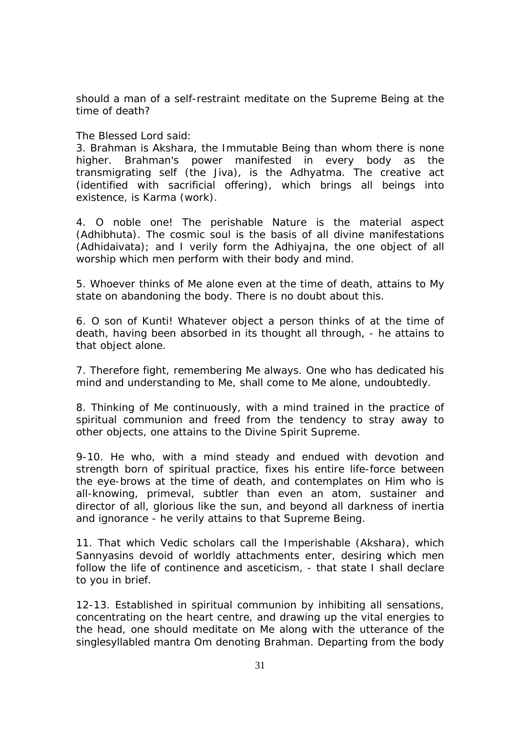should a man of a self-restraint meditate on the Supreme Being at the time of death?

The Blessed Lord said:

3. Brahman is Akshara, the Immutable Being than whom there is none higher. Brahman's power manifested in every body as the transmigrating self (the Jiva), is the Adhyatma. The creative act (identified with sacrificial offering), which brings all beings into existence, is Karma (work).

4. O noble one! The perishable Nature is the material aspect (Adhibhuta). The cosmic soul is the basis of all divine manifestations (Adhidaivata); and I verily form the Adhiyajna, the one object of all worship which men perform with their body and mind.

5. Whoever thinks of Me alone even at the time of death, attains to My state on abandoning the body. There is no doubt about this.

6. O son of Kunti! Whatever object a person thinks of at the time of death, having been absorbed in its thought all through, - he attains to that object alone.

7. Therefore fight, remembering Me always. One who has dedicated his mind and understanding to Me, shall come to Me alone, undoubtedly.

8. Thinking of Me continuously, with a mind trained in the practice of spiritual communion and freed from the tendency to stray away to other objects, one attains to the Divine Spirit Supreme.

9-10. He who, with a mind steady and endued with devotion and strength born of spiritual practice, fixes his entire life-force between the eye-brows at the time of death, and contemplates on Him who is all-knowing, primeval, subtler than even an atom, sustainer and director of all, glorious like the sun, and beyond all darkness of inertia and ignorance - he verily attains to that Supreme Being.

11. That which Vedic scholars call the Imperishable (Akshara), which Sannyasins devoid of worldly attachments enter, desiring which men follow the life of continence and asceticism, - that state I shall declare to you in brief.

12-13. Established in spiritual communion by inhibiting all sensations, concentrating on the heart centre, and drawing up the vital energies to the head, one should meditate on Me along with the utterance of the singlesyllabled mantra Om denoting Brahman. Departing from the body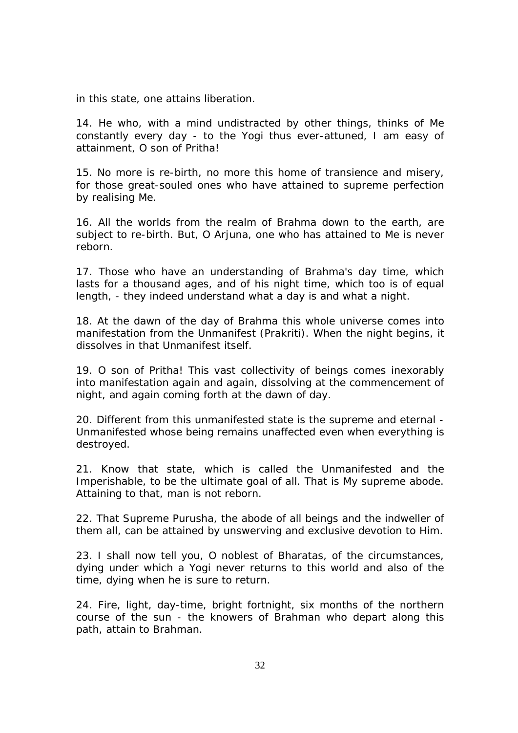in this state, one attains liberation.

14. He who, with a mind undistracted by other things, thinks of Me constantly every day - to the Yogi thus ever-attuned, I am easy of attainment, O son of Pritha!

15. No more is re-birth, no more this home of transience and misery, for those great-souled ones who have attained to supreme perfection by realising Me.

16. All the worlds from the realm of Brahma down to the earth, are subject to re-birth. But, O Arjuna, one who has attained to Me is never reborn.

17. Those who have an understanding of Brahma's day time, which lasts for a thousand ages, and of his night time, which too is of equal length, - they indeed understand what a day is and what a night.

18. At the dawn of the day of Brahma this whole universe comes into manifestation from the Unmanifest (Prakriti). When the night begins, it dissolves in that Unmanifest itself.

19. O son of Pritha! This vast collectivity of beings comes inexorably into manifestation again and again, dissolving at the commencement of night, and again coming forth at the dawn of day.

20. Different from this unmanifested state is the supreme and eternal - Unmanifested whose being remains unaffected even when everything is destroyed.

21. Know that state, which is called the Unmanifested and the Imperishable, to be the ultimate goal of all. That is My supreme abode. Attaining to that, man is not reborn.

22. That Supreme Purusha, the abode of all beings and the indweller of them all, can be attained by unswerving and exclusive devotion to Him.

23. I shall now tell you, O noblest of Bharatas, of the circumstances, dying under which a Yogi never returns to this world and also of the time, dying when he is sure to return.

24. Fire, light, day-time, bright fortnight, six months of the northern course of the sun - the knowers of Brahman who depart along this path, attain to Brahman.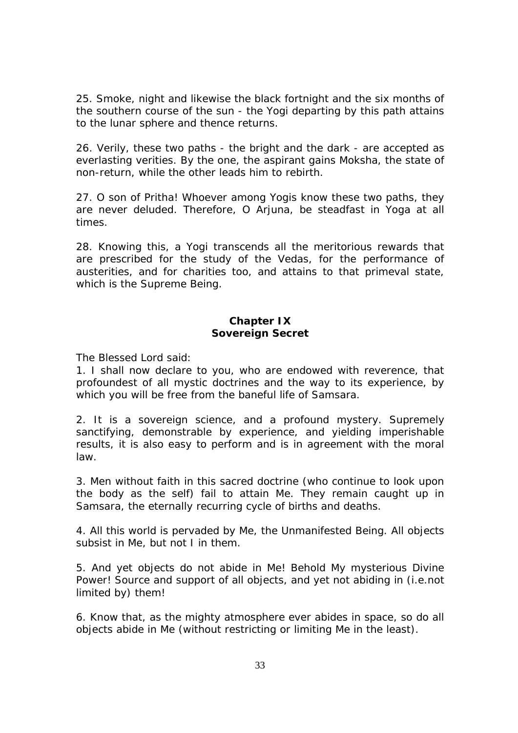25. Smoke, night and likewise the black fortnight and the six months of the southern course of the sun - the Yogi departing by this path attains to the lunar sphere and thence returns.

26. Verily, these two paths - the bright and the dark - are accepted as everlasting verities. By the one, the aspirant gains Moksha, the state of non-return, while the other leads him to rebirth.

27. O son of Pritha! Whoever among Yogis know these two paths, they are never deluded. Therefore, O Arjuna, be steadfast in Yoga at all times.

28. Knowing this, a Yogi transcends all the meritorious rewards that are prescribed for the study of the Vedas, for the performance of austerities, and for charities too, and attains to that primeval state, which is the Supreme Being.

# **Chapter IX Sovereign Secret**

The Blessed Lord said:

1. I shall now declare to you, who are endowed with reverence, that profoundest of all mystic doctrines and the way to its experience, by which you will be free from the baneful life of Samsara.

2. It is a sovereign science, and a profound mystery. Supremely sanctifying, demonstrable by experience, and yielding imperishable results, it is also easy to perform and is in agreement with the moral law.

3. Men without faith in this sacred doctrine (who continue to look upon the body as the self) fail to attain Me. They remain caught up in Samsara, the eternally recurring cycle of births and deaths.

4. All this world is pervaded by Me, the Unmanifested Being. All objects subsist in Me, but not I in them.

5. And yet objects do not abide in Me! Behold My mysterious Divine Power! Source and support of all objects, and yet not abiding in (i.e.not limited by) them!

6. Know that, as the mighty atmosphere ever abides in space, so do all objects abide in Me (without restricting or limiting Me in the least).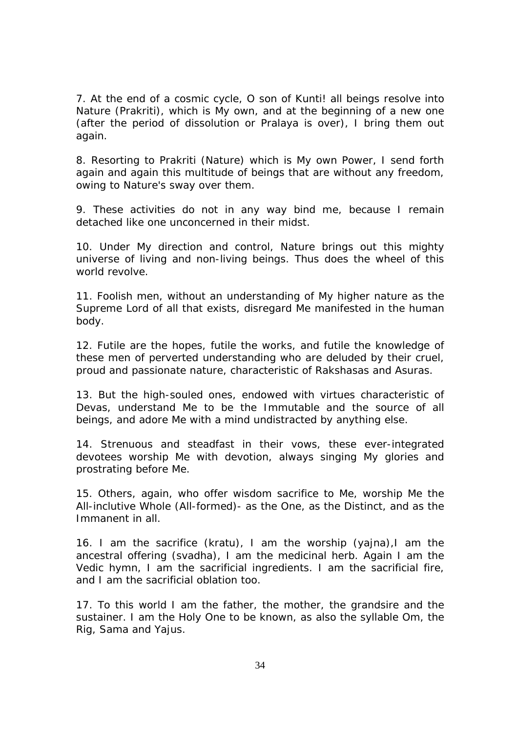7. At the end of a cosmic cycle, O son of Kunti! all beings resolve into Nature (Prakriti), which is My own, and at the beginning of a new one (after the period of dissolution or Pralaya is over), I bring them out again.

8. Resorting to Prakriti (Nature) which is My own Power, I send forth again and again this multitude of beings that are without any freedom, owing to Nature's sway over them.

9. These activities do not in any way bind me, because I remain detached like one unconcerned in their midst.

10. Under My direction and control, Nature brings out this mighty universe of living and non-living beings. Thus does the wheel of this world revolve.

11. Foolish men, without an understanding of My higher nature as the Supreme Lord of all that exists, disregard Me manifested in the human body.

12. Futile are the hopes, futile the works, and futile the knowledge of these men of perverted understanding who are deluded by their cruel, proud and passionate nature, characteristic of Rakshasas and Asuras.

13. But the high-souled ones, endowed with virtues characteristic of Devas, understand Me to be the Immutable and the source of all beings, and adore Me with a mind undistracted by anything else.

14. Strenuous and steadfast in their vows, these ever-integrated devotees worship Me with devotion, always singing My glories and prostrating before Me.

15. Others, again, who offer wisdom sacrifice to Me, worship Me the All-inclutive Whole (All-formed)- as the One, as the Distinct, and as the Immanent in all.

16. I am the sacrifice (kratu), I am the worship (yajna),I am the ancestral offering (svadha), I am the medicinal herb. Again I am the Vedic hymn, I am the sacrificial ingredients. I am the sacrificial fire, and I am the sacrificial oblation too.

17. To this world I am the father, the mother, the grandsire and the sustainer. I am the Holy One to be known, as also the syllable Om, the Rig, Sama and Yajus.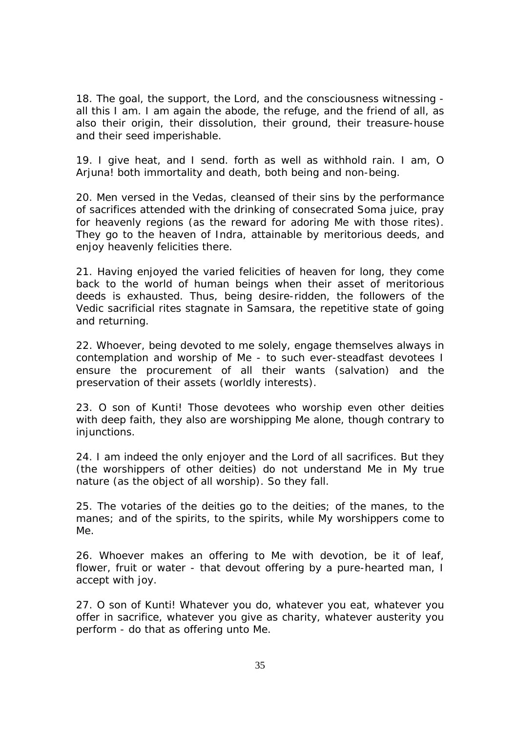18. The goal, the support, the Lord, and the consciousness witnessing all this I am. I am again the abode, the refuge, and the friend of all, as also their origin, their dissolution, their ground, their treasure-house and their seed imperishable.

19. I give heat, and I send. forth as well as withhold rain. I am, O Arjuna! both immortality and death, both being and non-being.

20. Men versed in the Vedas, cleansed of their sins by the performance of sacrifices attended with the drinking of consecrated Soma juice, pray for heavenly regions (as the reward for adoring Me with those rites). They go to the heaven of Indra, attainable by meritorious deeds, and enjoy heavenly felicities there.

21. Having enjoyed the varied felicities of heaven for long, they come back to the world of human beings when their asset of meritorious deeds is exhausted. Thus, being desire-ridden, the followers of the Vedic sacrificial rites stagnate in Samsara, the repetitive state of going and returning.

22. Whoever, being devoted to me solely, engage themselves always in contemplation and worship of Me - to such ever-steadfast devotees I ensure the procurement of all their wants (salvation) and the preservation of their assets (worldly interests).

23. O son of Kunti! Those devotees who worship even other deities with deep faith, they also are worshipping Me alone, though contrary to injunctions.

24. I am indeed the only enjoyer and the Lord of all sacrifices. But they (the worshippers of other deities) do not understand Me in My true nature (as the object of all worship). So they fall.

25. The votaries of the deities go to the deities; of the manes, to the manes; and of the spirits, to the spirits, while My worshippers come to Me.

26. Whoever makes an offering to Me with devotion, be it of leaf, flower, fruit or water - that devout offering by a pure-hearted man, I accept with joy.

27. O son of Kunti! Whatever you do, whatever you eat, whatever you offer in sacrifice, whatever you give as charity, whatever austerity you perform - do that as offering unto Me.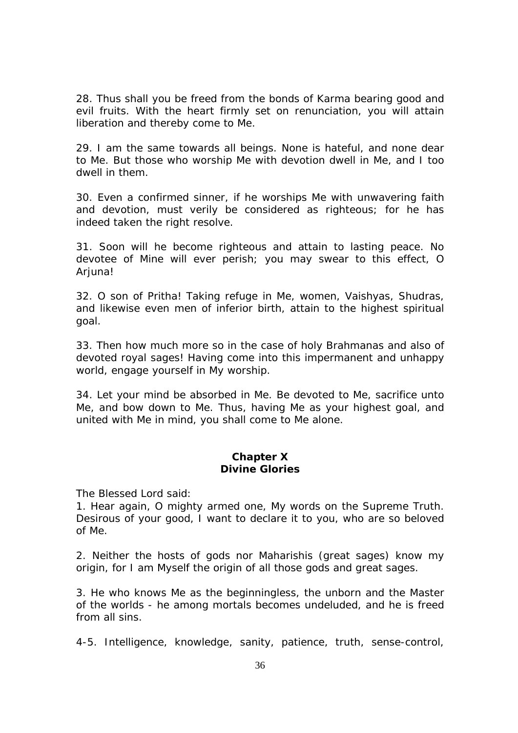28. Thus shall you be freed from the bonds of Karma bearing good and evil fruits. With the heart firmly set on renunciation, you will attain liberation and thereby come to Me.

29. I am the same towards all beings. None is hateful, and none dear to Me. But those who worship Me with devotion dwell in Me, and I too dwell in them.

30. Even a confirmed sinner, if he worships Me with unwavering faith and devotion, must verily be considered as righteous; for he has indeed taken the right resolve.

31. Soon will he become righteous and attain to lasting peace. No devotee of Mine will ever perish; you may swear to this effect, O Arjuna!

32. O son of Pritha! Taking refuge in Me, women, Vaishyas, Shudras, and likewise even men of inferior birth, attain to the highest spiritual goal.

33. Then how much more so in the case of holy Brahmanas and also of devoted royal sages! Having come into this impermanent and unhappy world, engage yourself in My worship.

34. Let your mind be absorbed in Me. Be devoted to Me, sacrifice unto Me, and bow down to Me. Thus, having Me as your highest goal, and united with Me in mind, you shall come to Me alone.

# **Chapter X Divine Glories**

The Blessed Lord said:

1. Hear again, O mighty armed one, My words on the Supreme Truth. Desirous of your good, I want to declare it to you, who are so beloved of Me.

2. Neither the hosts of gods nor Maharishis (great sages) know my origin, for I am Myself the origin of all those gods and great sages.

3. He who knows Me as the beginningless, the unborn and the Master of the worlds - he among mortals becomes undeluded, and he is freed from all sins.

4-5. Intelligence, knowledge, sanity, patience, truth, sense-control,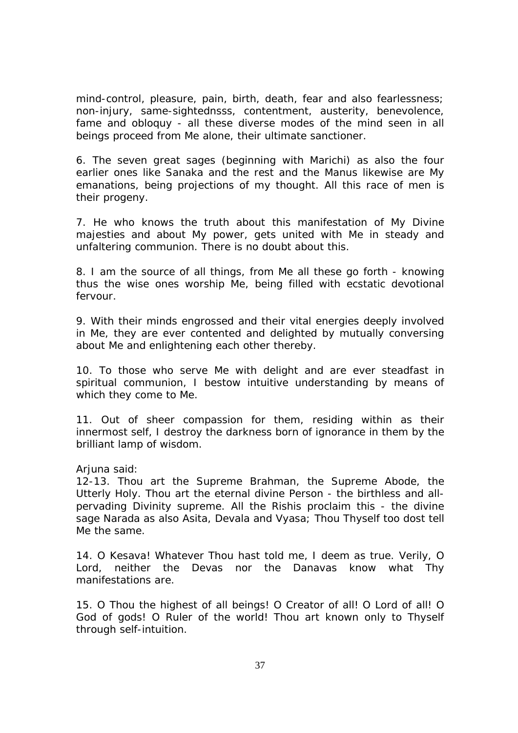mind-control, pleasure, pain, birth, death, fear and also fearlessness; non-injury, same-sightednsss, contentment, austerity, benevolence, fame and obloquy - all these diverse modes of the mind seen in all beings proceed from Me alone, their ultimate sanctioner.

6. The seven great sages (beginning with Marichi) as also the four earlier ones like Sanaka and the rest and the Manus likewise are My emanations, being projections of my thought. All this race of men is their progeny.

7. He who knows the truth about this manifestation of My Divine majesties and about My power, gets united with Me in steady and unfaltering communion. There is no doubt about this.

8. I am the source of all things, from Me all these go forth - knowing thus the wise ones worship Me, being filled with ecstatic devotional fervour.

9. With their minds engrossed and their vital energies deeply involved in Me, they are ever contented and delighted by mutually conversing about Me and enlightening each other thereby.

10. To those who serve Me with delight and are ever steadfast in spiritual communion, I bestow intuitive understanding by means of which they come to Me.

11. Out of sheer compassion for them, residing within as their innermost self, I destroy the darkness born of ignorance in them by the brilliant lamp of wisdom.

Arjuna said:

12-13. Thou art the Supreme Brahman, the Supreme Abode, the Utterly Holy. Thou art the eternal divine Person - the birthless and allpervading Divinity supreme. All the Rishis proclaim this - the divine sage Narada as also Asita, Devala and Vyasa; Thou Thyself too dost tell Me the same.

14. O Kesava! Whatever Thou hast told me, I deem as true. Verily, O Lord, neither the Devas nor the Danavas know what Thy manifestations are.

15. O Thou the highest of all beings! O Creator of all! O Lord of all! O God of gods! O Ruler of the world! Thou art known only to Thyself through self-intuition.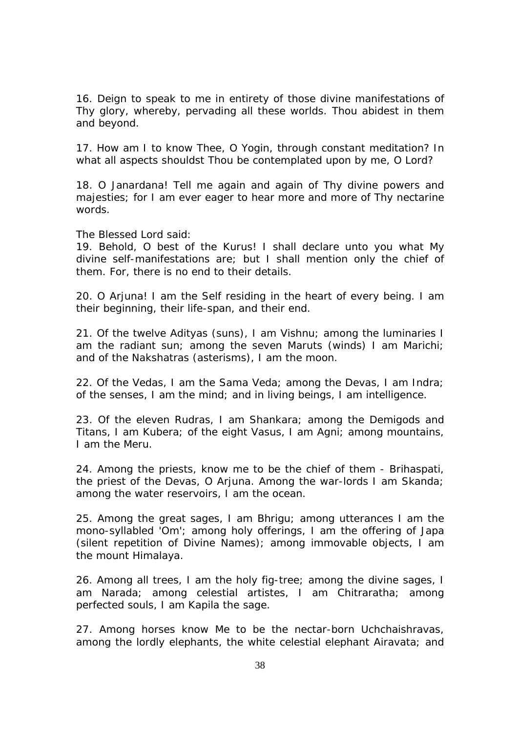16. Deign to speak to me in entirety of those divine manifestations of Thy glory, whereby, pervading all these worlds. Thou abidest in them and beyond.

17. How am I to know Thee, O Yogin, through constant meditation? In what all aspects shouldst Thou be contemplated upon by me, O Lord?

18. O Janardana! Tell me again and again of Thy divine powers and majesties; for I am ever eager to hear more and more of Thy nectarine words.

The Blessed Lord said:

19. Behold, O best of the Kurus! I shall declare unto you what My divine self-manifestations are; but I shall mention only the chief of them. For, there is no end to their details.

20. O Arjuna! I am the Self residing in the heart of every being. I am their beginning, their life-span, and their end.

21. Of the twelve Adityas (suns), I am Vishnu; among the luminaries I am the radiant sun; among the seven Maruts (winds) I am Marichi; and of the Nakshatras (asterisms), I am the moon.

22. Of the Vedas, I am the Sama Veda; among the Devas, I am Indra; of the senses, I am the mind; and in living beings, I am intelligence.

23. Of the eleven Rudras, I am Shankara; among the Demigods and Titans, I am Kubera; of the eight Vasus, I am Agni; among mountains, I am the Meru.

24. Among the priests, know me to be the chief of them - Brihaspati, the priest of the Devas, O Arjuna. Among the war-lords I am Skanda; among the water reservoirs, I am the ocean.

25. Among the great sages, I am Bhrigu; among utterances I am the mono-syllabled 'Om'; among holy offerings, I am the offering of Japa (silent repetition of Divine Names); among immovable objects, I am the mount Himalaya.

26. Among all trees, I am the holy fig-tree; among the divine sages, I am Narada; among celestial artistes, I am Chitraratha; among perfected souls, I am Kapila the sage.

27. Among horses know Me to be the nectar-born Uchchaishravas, among the lordly elephants, the white celestial elephant Airavata; and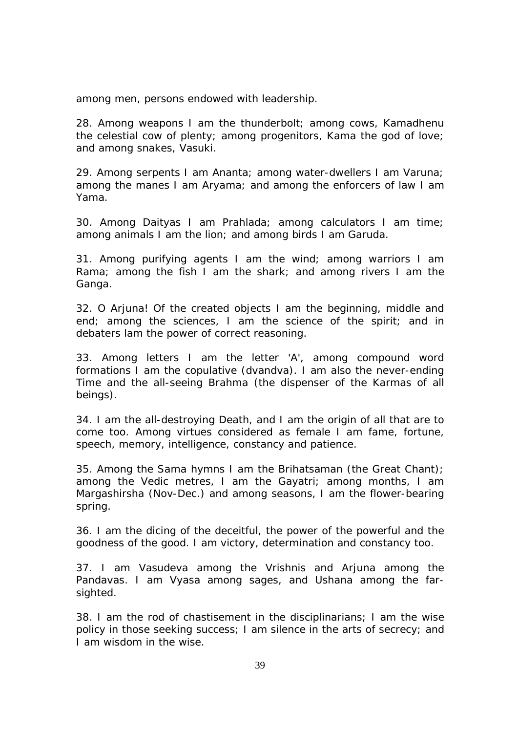among men, persons endowed with leadership.

28. Among weapons I am the thunderbolt; among cows, Kamadhenu the celestial cow of plenty; among progenitors, Kama the god of love; and among snakes, Vasuki.

29. Among serpents I am Ananta; among water-dwellers I am Varuna; among the manes I am Aryama; and among the enforcers of law I am Yama.

30. Among Daityas I am Prahlada; among calculators I am time; among animals I am the lion; and among birds I am Garuda.

31. Among purifying agents I am the wind; among warriors I am Rama; among the fish I am the shark; and among rivers I am the Ganga.

32. O Arjuna! Of the created objects I am the beginning, middle and end; among the sciences, I am the science of the spirit; and in debaters lam the power of correct reasoning.

33. Among letters I am the letter 'A', among compound word formations I am the copulative (dvandva). I am also the never-ending Time and the all-seeing Brahma (the dispenser of the Karmas of all beings).

34. I am the all-destroying Death, and I am the origin of all that are to come too. Among virtues considered as female I am fame, fortune, speech, memory, intelligence, constancy and patience.

35. Among the Sama hymns I am the Brihatsaman (the Great Chant); among the Vedic metres, I am the Gayatri; among months, I am Margashirsha (Nov-Dec.) and among seasons, I am the flower-bearing spring.

36. I am the dicing of the deceitful, the power of the powerful and the goodness of the good. I am victory, determination and constancy too.

37. I am Vasudeva among the Vrishnis and Arjuna among the Pandavas. I am Vyasa among sages, and Ushana among the farsighted.

38. I am the rod of chastisement in the disciplinarians; I am the wise policy in those seeking success; I am silence in the arts of secrecy; and I am wisdom in the wise.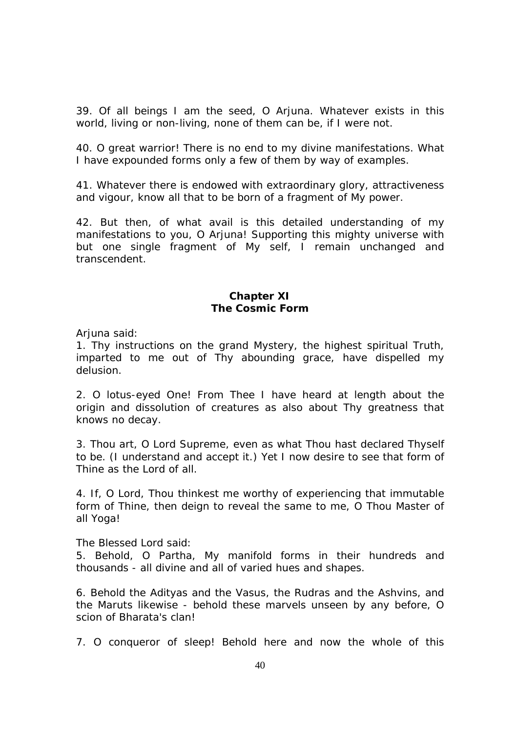39. Of all beings I am the seed, O Arjuna. Whatever exists in this world, living or non-living, none of them can be, if I were not.

40. O great warrior! There is no end to my divine manifestations. What I have expounded forms only a few of them by way of examples.

41. Whatever there is endowed with extraordinary glory, attractiveness and vigour, know all that to be born of a fragment of My power.

42. But then, of what avail is this detailed understanding of my manifestations to you, O Arjuna! Supporting this mighty universe with but one single fragment of My self, I remain unchanged and transcendent.

# **Chapter XI The Cosmic Form**

Arjuna said:

1. Thy instructions on the grand Mystery, the highest spiritual Truth, imparted to me out of Thy abounding grace, have dispelled my delusion.

2. O lotus-eyed One! From Thee I have heard at length about the origin and dissolution of creatures as also about Thy greatness that knows no decay.

3. Thou art, O Lord Supreme, even as what Thou hast declared Thyself to be. (I understand and accept it.) Yet I now desire to see that form of Thine as the Lord of all.

4. If, O Lord, Thou thinkest me worthy of experiencing that immutable form of Thine, then deign to reveal the same to me, O Thou Master of all Yoga!

The Blessed Lord said:

5. Behold, O Partha, My manifold forms in their hundreds and thousands - all divine and all of varied hues and shapes.

6. Behold the Adityas and the Vasus, the Rudras and the Ashvins, and the Maruts likewise - behold these marvels unseen by any before, O scion of Bharata's clan!

7. O conqueror of sleep! Behold here and now the whole of this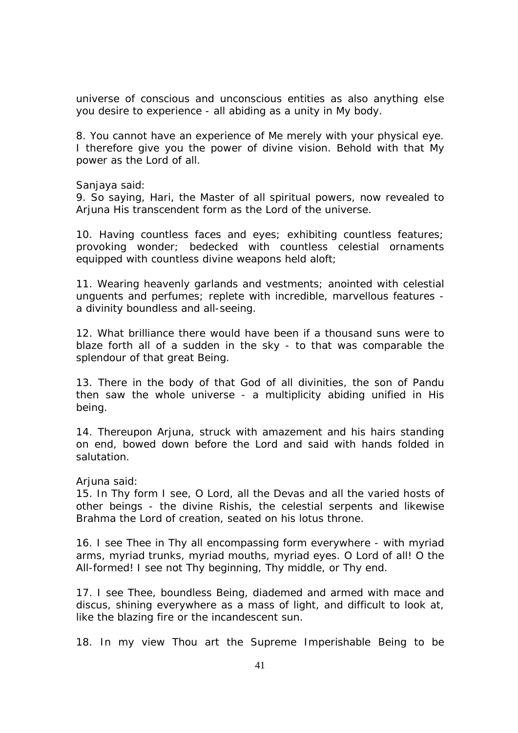universe of conscious and unconscious entities as also anything else you desire to experience - all abiding as a unity in My body.

8. You cannot have an experience of Me merely with your physical eye. I therefore give you the power of divine vision. Behold with that My power as the Lord of all.

Sanjaya said:

9. So saying, Hari, the Master of all spiritual powers, now revealed to Arjuna His transcendent form as the Lord of the universe.

10. Having countless faces and eyes; exhibiting countless features; provoking wonder; bedecked with countless celestial ornaments equipped with countless divine weapons held aloft;

11. Wearing heavenly garlands and vestments; anointed with celestial unguents and perfumes; replete with incredible, marvellous features a divinity boundless and all-seeing.

12. What brilliance there would have been if a thousand suns were to blaze forth all of a sudden in the sky - to that was comparable the splendour of that great Being.

13. There in the body of that God of all divinities, the son of Pandu then saw the whole universe - a multiplicity abiding unified in His being.

14. Thereupon Arjuna, struck with amazement and his hairs standing on end, bowed down before the Lord and said with hands folded in salutation.

Ariuna said:

15. In Thy form I see, O Lord, all the Devas and all the varied hosts of other beings - the divine Rishis, the celestial serpents and likewise Brahma the Lord of creation, seated on his lotus throne.

16. I see Thee in Thy all encompassing form everywhere - with myriad arms, myriad trunks, myriad mouths, myriad eyes. O Lord of all! O the All-formed! I see not Thy beginning, Thy middle, or Thy end.

17. I see Thee, boundless Being, diademed and armed with mace and discus, shining everywhere as a mass of light, and difficult to look at, like the blazing fire or the incandescent sun.

18. In my view Thou art the Supreme Imperishable Being to be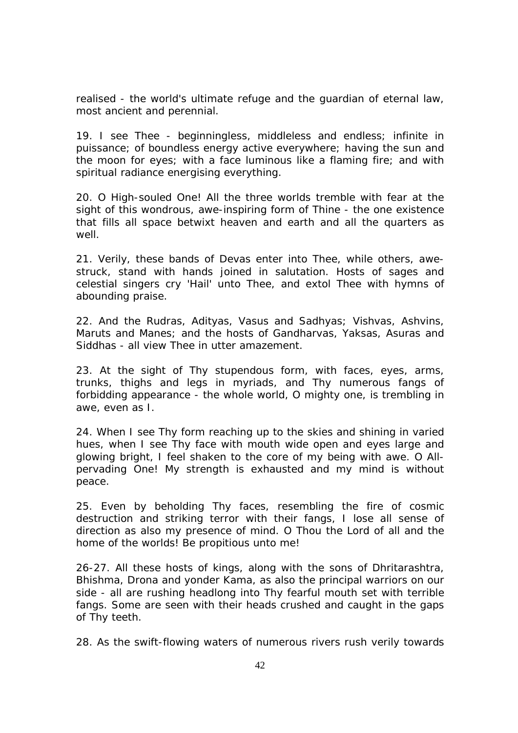realised - the world's ultimate refuge and the guardian of eternal law, most ancient and perennial.

19. I see Thee - beginningless, middleless and endless; infinite in puissance; of boundless energy active everywhere; having the sun and the moon for eyes; with a face luminous like a flaming fire; and with spiritual radiance energising everything.

20. O High-souled One! All the three worlds tremble with fear at the sight of this wondrous, awe-inspiring form of Thine - the one existence that fills all space betwixt heaven and earth and all the quarters as well.

21. Verily, these bands of Devas enter into Thee, while others, awestruck, stand with hands joined in salutation. Hosts of sages and celestial singers cry 'Hail' unto Thee, and extol Thee with hymns of abounding praise.

22. And the Rudras, Adityas, Vasus and Sadhyas; Vishvas, Ashvins, Maruts and Manes; and the hosts of Gandharvas, Yaksas, Asuras and Siddhas - all view Thee in utter amazement.

23. At the sight of Thy stupendous form, with faces, eyes, arms, trunks, thighs and legs in myriads, and Thy numerous fangs of forbidding appearance - the whole world, O mighty one, is trembling in awe, even as I.

24. When I see Thy form reaching up to the skies and shining in varied hues, when I see Thy face with mouth wide open and eyes large and glowing bright, I feel shaken to the core of my being with awe. O Allpervading One! My strength is exhausted and my mind is without peace.

25. Even by beholding Thy faces, resembling the fire of cosmic destruction and striking terror with their fangs, I lose all sense of direction as also my presence of mind. O Thou the Lord of all and the home of the worlds! Be propitious unto me!

26-27. All these hosts of kings, along with the sons of Dhritarashtra, Bhishma, Drona and yonder Kama, as also the principal warriors on our side - all are rushing headlong into Thy fearful mouth set with terrible fangs. Some are seen with their heads crushed and caught in the gaps of Thy teeth.

28. As the swift-flowing waters of numerous rivers rush verily towards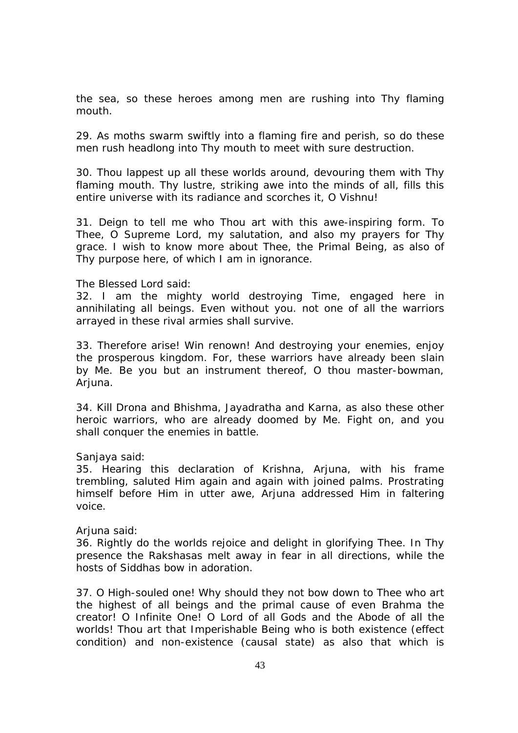the sea, so these heroes among men are rushing into Thy flaming mouth.

29. As moths swarm swiftly into a flaming fire and perish, so do these men rush headlong into Thy mouth to meet with sure destruction.

30. Thou lappest up all these worlds around, devouring them with Thy flaming mouth. Thy lustre, striking awe into the minds of all, fills this entire universe with its radiance and scorches it, O Vishnu!

31. Deign to tell me who Thou art with this awe-inspiring form. To Thee, O Supreme Lord, my salutation, and also my prayers for Thy grace. I wish to know more about Thee, the Primal Being, as also of Thy purpose here, of which I am in ignorance.

The Blessed Lord said:

32. I am the mighty world destroying Time, engaged here in annihilating all beings. Even without you. not one of all the warriors arrayed in these rival armies shall survive.

33. Therefore arise! Win renown! And destroying your enemies, enjoy the prosperous kingdom. For, these warriors have already been slain by Me. Be you but an instrument thereof, O thou master-bowman, Arjuna.

34. Kill Drona and Bhishma, Jayadratha and Karna, as also these other heroic warriors, who are already doomed by Me. Fight on, and you shall conquer the enemies in battle.

Sanjaya said:

35. Hearing this declaration of Krishna, Arjuna, with his frame trembling, saluted Him again and again with joined palms. Prostrating himself before Him in utter awe, Arjuna addressed Him in faltering voice.

Arjuna said:

36. Rightly do the worlds rejoice and delight in glorifying Thee. In Thy presence the Rakshasas melt away in fear in all directions, while the hosts of Siddhas bow in adoration.

37. O High-souled one! Why should they not bow down to Thee who art the highest of all beings and the primal cause of even Brahma the creator! O Infinite One! O Lord of all Gods and the Abode of all the worlds! Thou art that Imperishable Being who is both existence (effect condition) and non-existence (causal state) as also that which is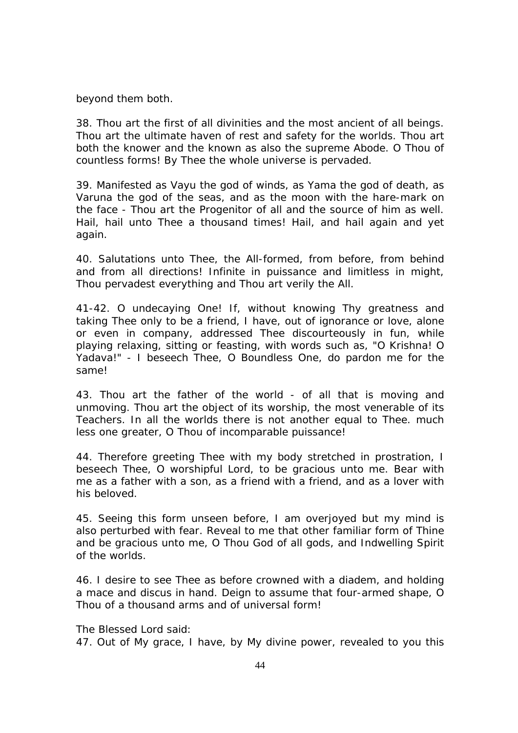beyond them both.

38. Thou art the first of all divinities and the most ancient of all beings. Thou art the ultimate haven of rest and safety for the worlds. Thou art both the knower and the known as also the supreme Abode. O Thou of countless forms! By Thee the whole universe is pervaded.

39. Manifested as Vayu the god of winds, as Yama the god of death, as Varuna the god of the seas, and as the moon with the hare-mark on the face - Thou art the Progenitor of all and the source of him as well. Hail, hail unto Thee a thousand times! Hail, and hail again and yet again.

40. Salutations unto Thee, the All-formed, from before, from behind and from all directions! Infinite in puissance and limitless in might, Thou pervadest everything and Thou art verily the All.

41-42. O undecaying One! If, without knowing Thy greatness and taking Thee only to be a friend, I have, out of ignorance or love, alone or even in company, addressed Thee discourteously in fun, while playing relaxing, sitting or feasting, with words such as, "O Krishna! O Yadava!" - I beseech Thee, O Boundless One, do pardon me for the same!

43. Thou art the father of the world - of all that is moving and unmoving. Thou art the object of its worship, the most venerable of its Teachers. In all the worlds there is not another equal to Thee. much less one greater, O Thou of incomparable puissance!

44. Therefore greeting Thee with my body stretched in prostration, I beseech Thee, O worshipful Lord, to be gracious unto me. Bear with me as a father with a son, as a friend with a friend, and as a lover with his beloved.

45. Seeing this form unseen before, I am overjoyed but my mind is also perturbed with fear. Reveal to me that other familiar form of Thine and be gracious unto me, O Thou God of all gods, and Indwelling Spirit of the worlds.

46. I desire to see Thee as before crowned with a diadem, and holding a mace and discus in hand. Deign to assume that four-armed shape, O Thou of a thousand arms and of universal form!

The Blessed Lord said: 47. Out of My grace, I have, by My divine power, revealed to you this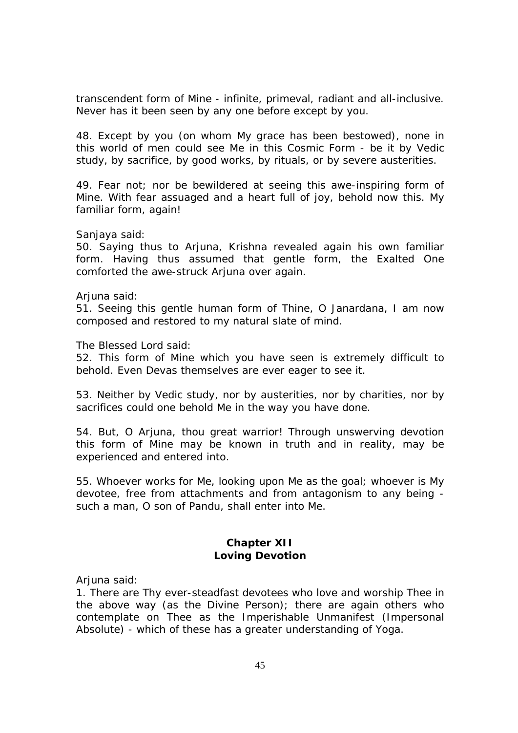transcendent form of Mine - infinite, primeval, radiant and all-inclusive. Never has it been seen by any one before except by you.

48. Except by you (on whom My grace has been bestowed), none in this world of men could see Me in this Cosmic Form - be it by Vedic study, by sacrifice, by good works, by rituals, or by severe austerities.

49. Fear not; nor be bewildered at seeing this awe-inspiring form of Mine. With fear assuaged and a heart full of joy, behold now this. My familiar form, again!

#### Sanjaya said:

50. Saying thus to Arjuna, Krishna revealed again his own familiar form. Having thus assumed that gentle form, the Exalted One comforted the awe-struck Arjuna over again.

#### Ariuna said:

51. Seeing this gentle human form of Thine, O Janardana, I am now composed and restored to my natural slate of mind.

The Blessed Lord said:

52. This form of Mine which you have seen is extremely difficult to behold. Even Devas themselves are ever eager to see it.

53. Neither by Vedic study, nor by austerities, nor by charities, nor by sacrifices could one behold Me in the way you have done.

54. But, O Arjuna, thou great warrior! Through unswerving devotion this form of Mine may be known in truth and in reality, may be experienced and entered into.

55. Whoever works for Me, looking upon Me as the goal; whoever is My devotee, free from attachments and from antagonism to any being such a man, O son of Pandu, shall enter into Me.

# **Chapter XII Loving Devotion**

Arjuna said:

1. There are Thy ever-steadfast devotees who love and worship Thee in the above way (as the Divine Person); there are again others who contemplate on Thee as the Imperishable Unmanifest (Impersonal Absolute) - which of these has a greater understanding of Yoga.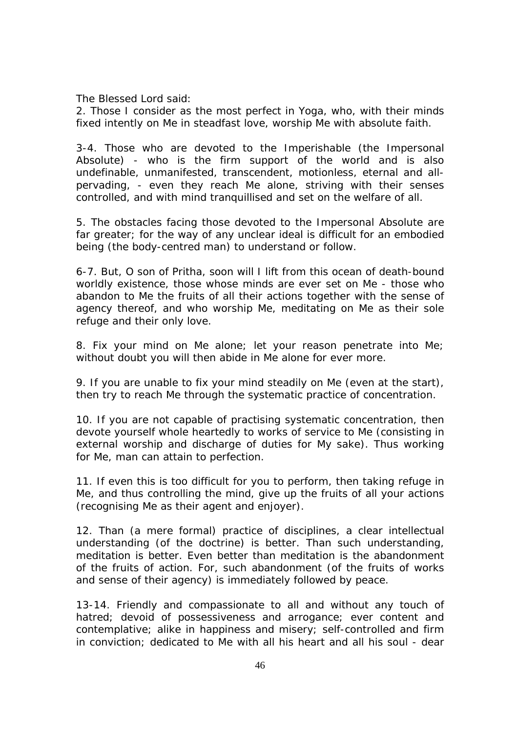The Blessed Lord said:

2. Those I consider as the most perfect in Yoga, who, with their minds fixed intently on Me in steadfast love, worship Me with absolute faith.

3-4. Those who are devoted to the Imperishable (the Impersonal Absolute) - who is the firm support of the world and is also undefinable, unmanifested, transcendent, motionless, eternal and allpervading, - even they reach Me alone, striving with their senses controlled, and with mind tranquillised and set on the welfare of all.

5. The obstacles facing those devoted to the Impersonal Absolute are far greater; for the way of any unclear ideal is difficult for an embodied being (the body-centred man) to understand or follow.

6-7. But, O son of Pritha, soon will I lift from this ocean of death-bound worldly existence, those whose minds are ever set on Me - those who abandon to Me the fruits of all their actions together with the sense of agency thereof, and who worship Me, meditating on Me as their sole refuge and their only love.

8. Fix your mind on Me alone; let your reason penetrate into Me; without doubt you will then abide in Me alone for ever more.

9. If you are unable to fix your mind steadily on Me (even at the start), then try to reach Me through the systematic practice of concentration.

10. If you are not capable of practising systematic concentration, then devote yourself whole heartedly to works of service to Me (consisting in external worship and discharge of duties for My sake). Thus working for Me, man can attain to perfection.

11. If even this is too difficult for you to perform, then taking refuge in Me, and thus controlling the mind, give up the fruits of all your actions (recognising Me as their agent and enjoyer).

12. Than (a mere formal) practice of disciplines, a clear intellectual understanding (of the doctrine) is better. Than such understanding, meditation is better. Even better than meditation is the abandonment of the fruits of action. For, such abandonment (of the fruits of works and sense of their agency) is immediately followed by peace.

13-14. Friendly and compassionate to all and without any touch of hatred; devoid of possessiveness and arrogance; ever content and contemplative; alike in happiness and misery; self-controlled and firm in conviction; dedicated to Me with all his heart and all his soul - dear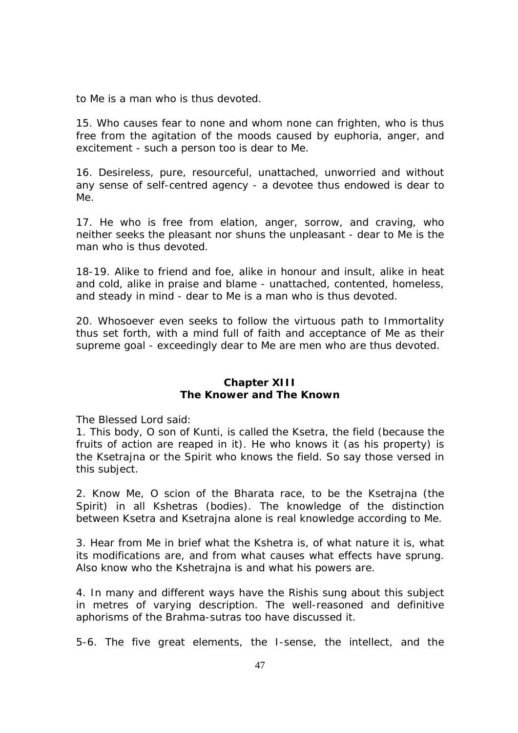to Me is a man who is thus devoted.

15. Who causes fear to none and whom none can frighten, who is thus free from the agitation of the moods caused by euphoria, anger, and excitement - such a person too is dear to Me.

16. Desireless, pure, resourceful, unattached, unworried and without any sense of self-centred agency - a devotee thus endowed is dear to Me.

17. He who is free from elation, anger, sorrow, and craving, who neither seeks the pleasant nor shuns the unpleasant - dear to Me is the man who is thus devoted.

18-19. Alike to friend and foe, alike in honour and insult, alike in heat and cold, alike in praise and blame - unattached, contented, homeless, and steady in mind - dear to Me is a man who is thus devoted.

20. Whosoever even seeks to follow the virtuous path to Immortality thus set forth, with a mind full of faith and acceptance of Me as their supreme goal - exceedingly dear to Me are men who are thus devoted.

#### **Chapter XIII The Knower and The Known**

The Blessed Lord said:

1. This body, O son of Kunti, is called the Ksetra, the field (because the fruits of action are reaped in it). He who knows it (as his property) is the Ksetrajna or the Spirit who knows the field. So say those versed in this subject.

2. Know Me, O scion of the Bharata race, to be the Ksetrajna (the Spirit) in all Kshetras (bodies). The knowledge of the distinction between Ksetra and Ksetrajna alone is real knowledge according to Me.

3. Hear from Me in brief what the Kshetra is, of what nature it is, what its modifications are, and from what causes what effects have sprung. Also know who the Kshetrajna is and what his powers are.

4. In many and different ways have the Rishis sung about this subject in metres of varying description. The well-reasoned and definitive aphorisms of the Brahma-sutras too have discussed it.

5-6. The five great elements, the I-sense, the intellect, and the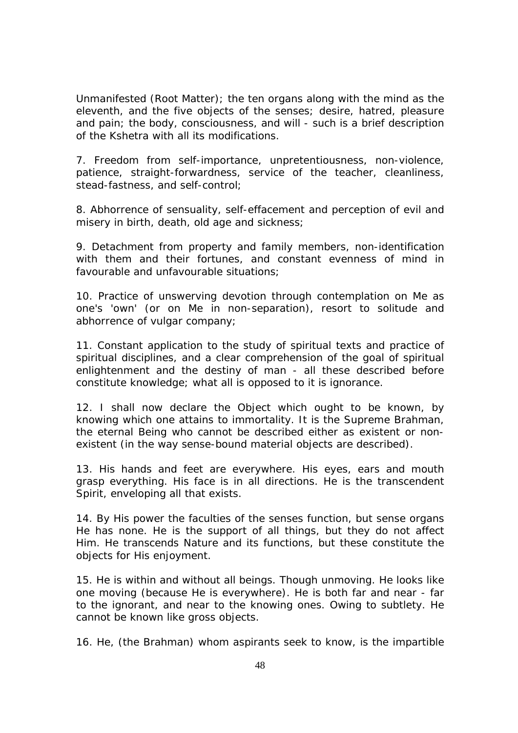Unmanifested (Root Matter); the ten organs along with the mind as the eleventh, and the five objects of the senses; desire, hatred, pleasure and pain; the body, consciousness, and will - such is a brief description of the Kshetra with all its modifications.

7. Freedom from self-importance, unpretentiousness, non-violence, patience, straight-forwardness, service of the teacher, cleanliness, stead-fastness, and self-control;

8. Abhorrence of sensuality, self-effacement and perception of evil and misery in birth, death, old age and sickness;

9. Detachment from property and family members, non-identification with them and their fortunes, and constant evenness of mind in favourable and unfavourable situations;

10. Practice of unswerving devotion through contemplation on Me as one's 'own' (or on Me in non-separation), resort to solitude and abhorrence of vulgar company;

11. Constant application to the study of spiritual texts and practice of spiritual disciplines, and a clear comprehension of the goal of spiritual enlightenment and the destiny of man - all these described before constitute knowledge; what all is opposed to it is ignorance.

12. I shall now declare the Object which ought to be known, by knowing which one attains to immortality. It is the Supreme Brahman, the eternal Being who cannot be described either as existent or nonexistent (in the way sense-bound material objects are described).

13. His hands and feet are everywhere. His eyes, ears and mouth grasp everything. His face is in all directions. He is the transcendent Spirit, enveloping all that exists.

14. By His power the faculties of the senses function, but sense organs He has none. He is the support of all things, but they do not affect Him. He transcends Nature and its functions, but these constitute the objects for His enjoyment.

15. He is within and without all beings. Though unmoving. He looks like one moving (because He is everywhere). He is both far and near - far to the ignorant, and near to the knowing ones. Owing to subtlety. He cannot be known like gross objects.

16. He, (the Brahman) whom aspirants seek to know, is the impartible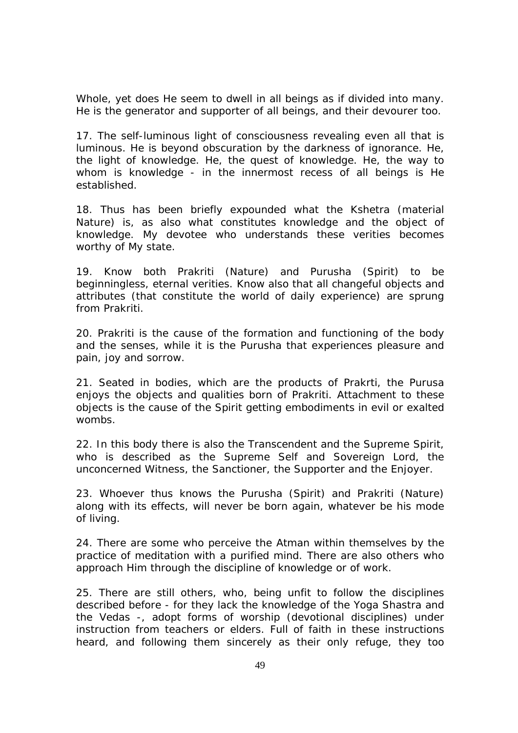Whole, yet does He seem to dwell in all beings as if divided into many. He is the generator and supporter of all beings, and their devourer too.

17. The self-luminous light of consciousness revealing even all that is luminous. He is beyond obscuration by the darkness of ignorance. He, the light of knowledge. He, the quest of knowledge. He, the way to whom is knowledge - in the innermost recess of all beings is He established.

18. Thus has been briefly expounded what the Kshetra (material Nature) is, as also what constitutes knowledge and the object of knowledge. My devotee who understands these verities becomes worthy of My state.

19. Know both Prakriti (Nature) and Purusha (Spirit) to be beginningless, eternal verities. Know also that all changeful objects and attributes (that constitute the world of daily experience) are sprung from Prakriti.

20. Prakriti is the cause of the formation and functioning of the body and the senses, while it is the Purusha that experiences pleasure and pain, joy and sorrow.

21. Seated in bodies, which are the products of Prakrti, the Purusa enjoys the objects and qualities born of Prakriti. Attachment to these objects is the cause of the Spirit getting embodiments in evil or exalted wombs.

22. In this body there is also the Transcendent and the Supreme Spirit, who is described as the Supreme Self and Sovereign Lord, the unconcerned Witness, the Sanctioner, the Supporter and the Enjoyer.

23. Whoever thus knows the Purusha (Spirit) and Prakriti (Nature) along with its effects, will never be born again, whatever be his mode of living.

24. There are some who perceive the Atman within themselves by the practice of meditation with a purified mind. There are also others who approach Him through the discipline of knowledge or of work.

25. There are still others, who, being unfit to follow the disciplines described before - for they lack the knowledge of the Yoga Shastra and the Vedas -, adopt forms of worship (devotional disciplines) under instruction from teachers or elders. Full of faith in these instructions heard, and following them sincerely as their only refuge, they too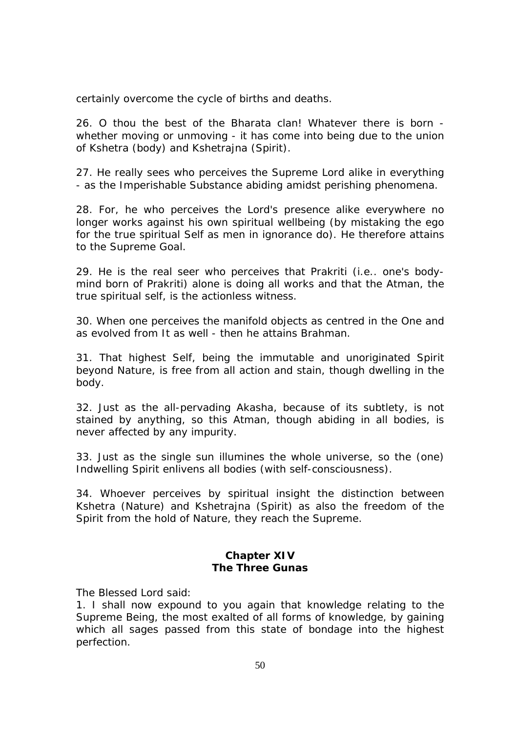certainly overcome the cycle of births and deaths.

26. O thou the best of the Bharata clan! Whatever there is born whether moving or unmoving - it has come into being due to the union of Kshetra (body) and Kshetrajna (Spirit).

27. He really sees who perceives the Supreme Lord alike in everything - as the Imperishable Substance abiding amidst perishing phenomena.

28. For, he who perceives the Lord's presence alike everywhere no longer works against his own spiritual wellbeing (by mistaking the ego for the true spiritual Self as men in ignorance do). He therefore attains to the Supreme Goal.

29. He is the real seer who perceives that Prakriti (i.e.. one's bodymind born of Prakriti) alone is doing all works and that the Atman, the true spiritual self, is the actionless witness.

30. When one perceives the manifold objects as centred in the One and as evolved from It as well - then he attains Brahman.

31. That highest Self, being the immutable and unoriginated Spirit beyond Nature, is free from all action and stain, though dwelling in the body.

32. Just as the all-pervading Akasha, because of its subtlety, is not stained by anything, so this Atman, though abiding in all bodies, is never affected by any impurity.

33. Just as the single sun illumines the whole universe, so the (one) Indwelling Spirit enlivens all bodies (with self-consciousness).

34. Whoever perceives by spiritual insight the distinction between Kshetra (Nature) and Kshetrajna (Spirit) as also the freedom of the Spirit from the hold of Nature, they reach the Supreme.

# **Chapter XIV The Three Gunas**

The Blessed Lord said:

1. I shall now expound to you again that knowledge relating to the Supreme Being, the most exalted of all forms of knowledge, by gaining which all sages passed from this state of bondage into the highest perfection.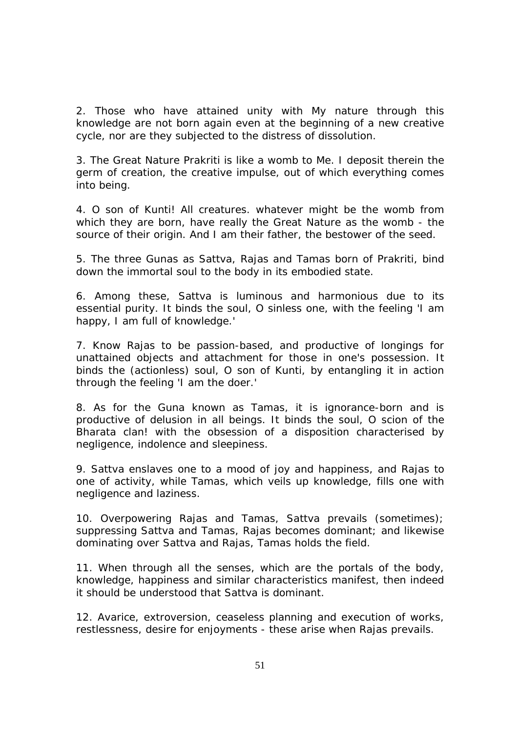2. Those who have attained unity with My nature through this knowledge are not born again even at the beginning of a new creative cycle, nor are they subjected to the distress of dissolution.

3. The Great Nature Prakriti is like a womb to Me. I deposit therein the germ of creation, the creative impulse, out of which everything comes into being.

4. O son of Kunti! All creatures. whatever might be the womb from which they are born, have really the Great Nature as the womb - the source of their origin. And I am their father, the bestower of the seed.

5. The three Gunas as Sattva, Rajas and Tamas born of Prakriti, bind down the immortal soul to the body in its embodied state.

6. Among these, Sattva is luminous and harmonious due to its essential purity. It binds the soul, O sinless one, with the feeling 'I am happy, I am full of knowledge.'

7. Know Rajas to be passion-based, and productive of longings for unattained objects and attachment for those in one's possession. It binds the (actionless) soul, O son of Kunti, by entangling it in action through the feeling 'I am the doer.'

8. As for the Guna known as Tamas, it is ignorance-born and is productive of delusion in all beings. It binds the soul, O scion of the Bharata clan! with the obsession of a disposition characterised by negligence, indolence and sleepiness.

9. Sattva enslaves one to a mood of joy and happiness, and Rajas to one of activity, while Tamas, which veils up knowledge, fills one with negligence and laziness.

10. Overpowering Rajas and Tamas, Sattva prevails (sometimes); suppressing Sattva and Tamas, Rajas becomes dominant; and likewise dominating over Sattva and Rajas, Tamas holds the field.

11. When through all the senses, which are the portals of the body, knowledge, happiness and similar characteristics manifest, then indeed it should be understood that Sattva is dominant.

12. Avarice, extroversion, ceaseless planning and execution of works, restlessness, desire for enjoyments - these arise when Rajas prevails.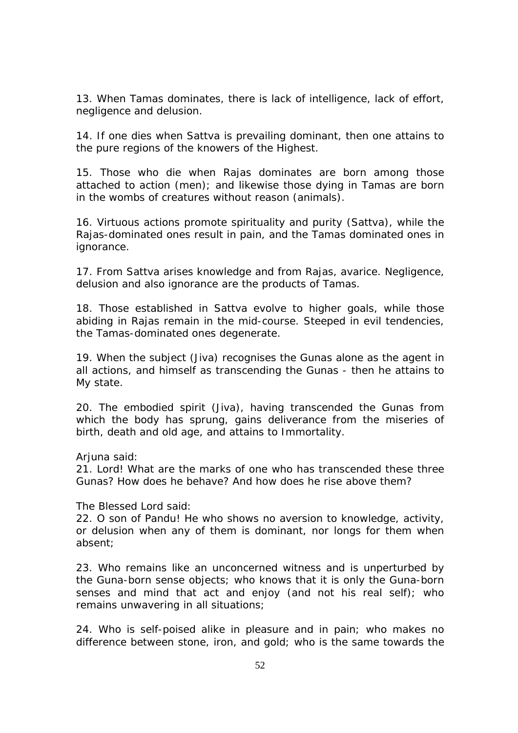13. When Tamas dominates, there is lack of intelligence, lack of effort, negligence and delusion.

14. If one dies when Sattva is prevailing dominant, then one attains to the pure regions of the knowers of the Highest.

15. Those who die when Rajas dominates are born among those attached to action (men); and likewise those dying in Tamas are born in the wombs of creatures without reason (animals).

16. Virtuous actions promote spirituality and purity (Sattva), while the Rajas-dominated ones result in pain, and the Tamas dominated ones in ignorance.

17. From Sattva arises knowledge and from Rajas, avarice. Negligence, delusion and also ignorance are the products of Tamas.

18. Those established in Sattva evolve to higher goals, while those abiding in Rajas remain in the mid-course. Steeped in evil tendencies, the Tamas-dominated ones degenerate.

19. When the subject (Jiva) recognises the Gunas alone as the agent in all actions, and himself as transcending the Gunas - then he attains to My state.

20. The embodied spirit (Jiva), having transcended the Gunas from which the body has sprung, gains deliverance from the miseries of birth, death and old age, and attains to Immortality.

Ariuna said:

21. Lord! What are the marks of one who has transcended these three Gunas? How does he behave? And how does he rise above them?

The Blessed Lord said:

22. O son of Pandu! He who shows no aversion to knowledge, activity, or delusion when any of them is dominant, nor longs for them when absent;

23. Who remains like an unconcerned witness and is unperturbed by the Guna-born sense objects; who knows that it is only the Guna-born senses and mind that act and enjoy (and not his real self); who remains unwavering in all situations;

24. Who is self-poised alike in pleasure and in pain; who makes no difference between stone, iron, and gold; who is the same towards the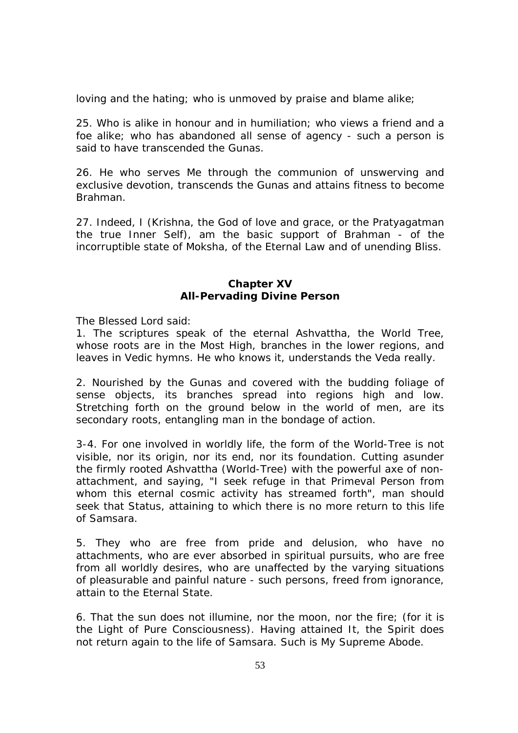loving and the hating; who is unmoved by praise and blame alike;

25. Who is alike in honour and in humiliation; who views a friend and a foe alike; who has abandoned all sense of agency - such a person is said to have transcended the Gunas.

26. He who serves Me through the communion of unswerving and exclusive devotion, transcends the Gunas and attains fitness to become Brahman.

27. Indeed, I (Krishna, the God of love and grace, or the Pratyagatman the true Inner Self), am the basic support of Brahman - of the incorruptible state of Moksha, of the Eternal Law and of unending Bliss.

# **Chapter XV All-Pervading Divine Person**

The Blessed Lord said:

1. The scriptures speak of the eternal Ashvattha, the World Tree, whose roots are in the Most High, branches in the lower regions, and leaves in Vedic hymns. He who knows it, understands the Veda really.

2. Nourished by the Gunas and covered with the budding foliage of sense objects, its branches spread into regions high and low. Stretching forth on the ground below in the world of men, are its secondary roots, entangling man in the bondage of action.

3-4. For one involved in worldly life, the form of the World-Tree is not visible, nor its origin, nor its end, nor its foundation. Cutting asunder the firmly rooted Ashvattha (World-Tree) with the powerful axe of nonattachment, and saying, "I seek refuge in that Primeval Person from whom this eternal cosmic activity has streamed forth", man should seek that Status, attaining to which there is no more return to this life of Samsara.

5. They who are free from pride and delusion, who have no attachments, who are ever absorbed in spiritual pursuits, who are free from all worldly desires, who are unaffected by the varying situations of pleasurable and painful nature - such persons, freed from ignorance, attain to the Eternal State.

6. That the sun does not illumine, nor the moon, nor the fire; (for it is the Light of Pure Consciousness). Having attained It, the Spirit does not return again to the life of Samsara. Such is My Supreme Abode.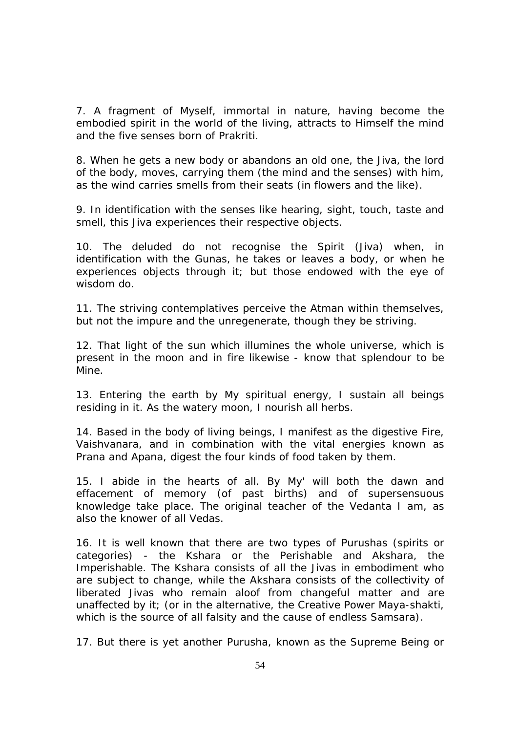7. A fragment of Myself, immortal in nature, having become the embodied spirit in the world of the living, attracts to Himself the mind and the five senses born of Prakriti.

8. When he gets a new body or abandons an old one, the Jiva, the lord of the body, moves, carrying them (the mind and the senses) with him, as the wind carries smells from their seats (in flowers and the like).

9. In identification with the senses like hearing, sight, touch, taste and smell, this Jiva experiences their respective objects.

10. The deluded do not recognise the Spirit (Jiva) when, in identification with the Gunas, he takes or leaves a body, or when he experiences objects through it; but those endowed with the eye of wisdom do.

11. The striving contemplatives perceive the Atman within themselves, but not the impure and the unregenerate, though they be striving.

12. That light of the sun which illumines the whole universe, which is present in the moon and in fire likewise - know that splendour to be Mine.

13. Entering the earth by My spiritual energy, I sustain all beings residing in it. As the watery moon, I nourish all herbs.

14. Based in the body of living beings, I manifest as the digestive Fire, Vaishvanara, and in combination with the vital energies known as Prana and Apana, digest the four kinds of food taken by them.

15. I abide in the hearts of all. By My' will both the dawn and effacement of memory (of past births) and of supersensuous knowledge take place. The original teacher of the Vedanta I am, as also the knower of all Vedas.

16. It is well known that there are two types of Purushas (spirits or categories) - the Kshara or the Perishable and Akshara, the Imperishable. The Kshara consists of all the Jivas in embodiment who are subject to change, while the Akshara consists of the collectivity of liberated Jivas who remain aloof from changeful matter and are unaffected by it; (or in the alternative, the Creative Power Maya-shakti, which is the source of all falsity and the cause of endless Samsara).

17. But there is yet another Purusha, known as the Supreme Being or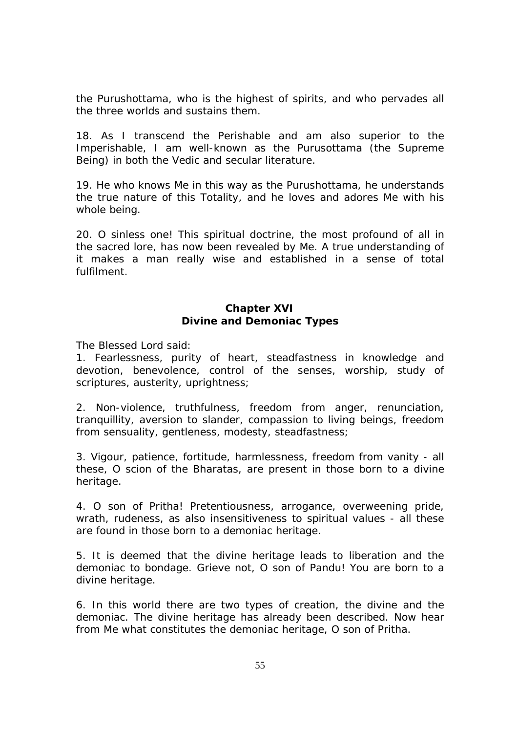the Purushottama, who is the highest of spirits, and who pervades all the three worlds and sustains them.

18. As I transcend the Perishable and am also superior to the Imperishable, I am well-known as the Purusottama (the Supreme Being) in both the Vedic and secular literature.

19. He who knows Me in this way as the Purushottama, he understands the true nature of this Totality, and he loves and adores Me with his whole being.

20. O sinless one! This spiritual doctrine, the most profound of all in the sacred lore, has now been revealed by Me. A true understanding of it makes a man really wise and established in a sense of total fulfilment.

# **Chapter XVI Divine and Demoniac Types**

The Blessed Lord said:

1. Fearlessness, purity of heart, steadfastness in knowledge and devotion, benevolence, control of the senses, worship, study of scriptures, austerity, uprightness;

2. Non-violence, truthfulness, freedom from anger, renunciation, tranquillity, aversion to slander, compassion to living beings, freedom from sensuality, gentleness, modesty, steadfastness;

3. Vigour, patience, fortitude, harmlessness, freedom from vanity - all these, O scion of the Bharatas, are present in those born to a divine heritage.

4. O son of Pritha! Pretentiousness, arrogance, overweening pride, wrath, rudeness, as also insensitiveness to spiritual values - all these are found in those born to a demoniac heritage.

5. It is deemed that the divine heritage leads to liberation and the demoniac to bondage. Grieve not, O son of Pandu! You are born to a divine heritage.

6. In this world there are two types of creation, the divine and the demoniac. The divine heritage has already been described. Now hear from Me what constitutes the demoniac heritage, O son of Pritha.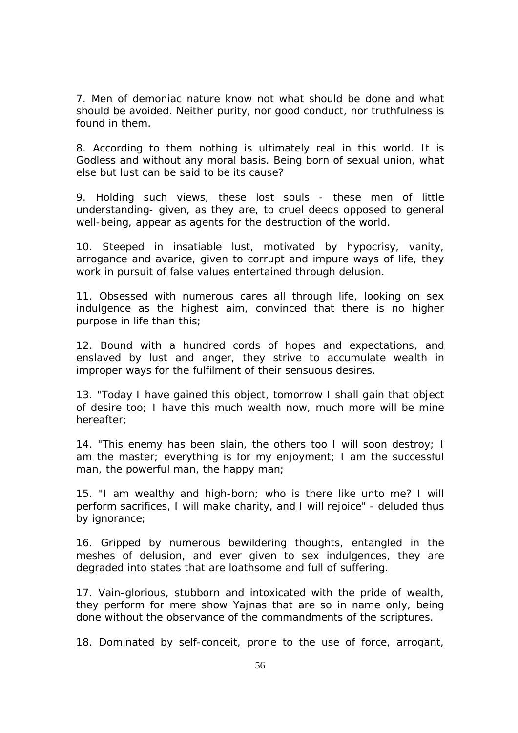7. Men of demoniac nature know not what should be done and what should be avoided. Neither purity, nor good conduct, nor truthfulness is found in them.

8. According to them nothing is ultimately real in this world. It is Godless and without any moral basis. Being born of sexual union, what else but lust can be said to be its cause?

9. Holding such views, these lost souls - these men of little understanding- given, as they are, to cruel deeds opposed to general well-being, appear as agents for the destruction of the world.

10. Steeped in insatiable lust, motivated by hypocrisy, vanity, arrogance and avarice, given to corrupt and impure ways of life, they work in pursuit of false values entertained through delusion.

11. Obsessed with numerous cares all through life, looking on sex indulgence as the highest aim, convinced that there is no higher purpose in life than this;

12. Bound with a hundred cords of hopes and expectations, and enslaved by lust and anger, they strive to accumulate wealth in improper ways for the fulfilment of their sensuous desires.

13. "Today I have gained this object, tomorrow I shall gain that object of desire too; I have this much wealth now, much more will be mine hereafter;

14. "This enemy has been slain, the others too I will soon destroy; I am the master; everything is for my enjoyment; I am the successful man, the powerful man, the happy man;

15. "I am wealthy and high-born; who is there like unto me? I will perform sacrifices, I will make charity, and I will rejoice" - deluded thus by ignorance;

16. Gripped by numerous bewildering thoughts, entangled in the meshes of delusion, and ever given to sex indulgences, they are degraded into states that are loathsome and full of suffering.

17. Vain-glorious, stubborn and intoxicated with the pride of wealth, they perform for mere show Yajnas that are so in name only, being done without the observance of the commandments of the scriptures.

18. Dominated by self-conceit, prone to the use of force, arrogant,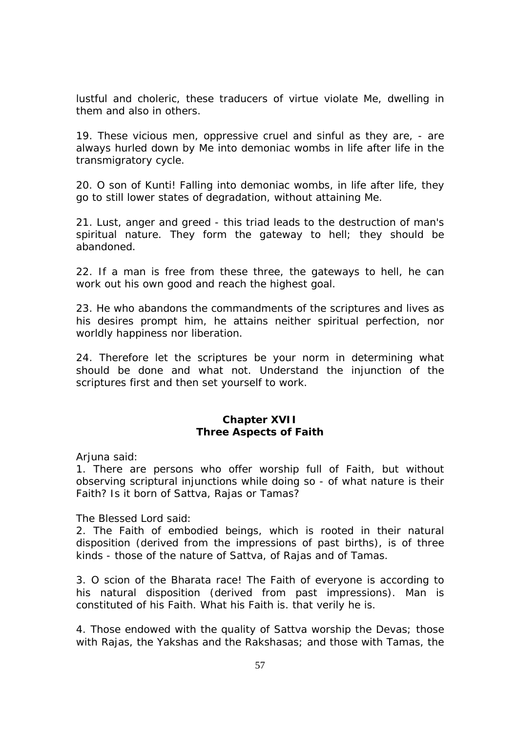lustful and choleric, these traducers of virtue violate Me, dwelling in them and also in others.

19. These vicious men, oppressive cruel and sinful as they are, - are always hurled down by Me into demoniac wombs in life after life in the transmigratory cycle.

20. O son of Kunti! Falling into demoniac wombs, in life after life, they go to still lower states of degradation, without attaining Me.

21. Lust, anger and greed - this triad leads to the destruction of man's spiritual nature. They form the gateway to hell; they should be abandoned.

22. If a man is free from these three, the gateways to hell, he can work out his own good and reach the highest goal.

23. He who abandons the commandments of the scriptures and lives as his desires prompt him, he attains neither spiritual perfection, nor worldly happiness nor liberation.

24. Therefore let the scriptures be your norm in determining what should be done and what not. Understand the injunction of the scriptures first and then set yourself to work.

# **Chapter XVII Three Aspects of Faith**

Ariuna said:

1. There are persons who offer worship full of Faith, but without observing scriptural injunctions while doing so - of what nature is their Faith? Is it born of Sattva, Rajas or Tamas?

The Blessed Lord said:

2. The Faith of embodied beings, which is rooted in their natural disposition (derived from the impressions of past births), is of three kinds - those of the nature of Sattva, of Rajas and of Tamas.

3. O scion of the Bharata race! The Faith of everyone is according to his natural disposition (derived from past impressions). Man is constituted of his Faith. What his Faith is. that verily he is.

4. Those endowed with the quality of Sattva worship the Devas; those with Rajas, the Yakshas and the Rakshasas; and those with Tamas, the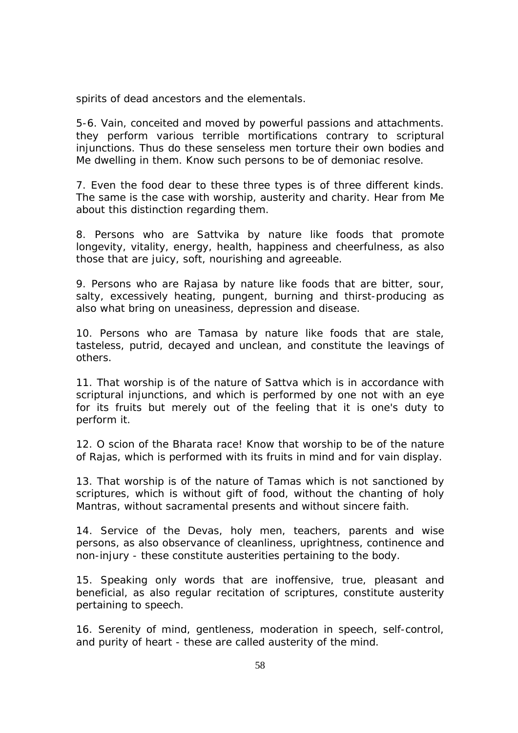spirits of dead ancestors and the elementals.

5-6. Vain, conceited and moved by powerful passions and attachments. they perform various terrible mortifications contrary to scriptural injunctions. Thus do these senseless men torture their own bodies and Me dwelling in them. Know such persons to be of demoniac resolve.

7. Even the food dear to these three types is of three different kinds. The same is the case with worship, austerity and charity. Hear from Me about this distinction regarding them.

8. Persons who are Sattvika by nature like foods that promote longevity, vitality, energy, health, happiness and cheerfulness, as also those that are juicy, soft, nourishing and agreeable.

9. Persons who are Rajasa by nature like foods that are bitter, sour, salty, excessively heating, pungent, burning and thirst-producing as also what bring on uneasiness, depression and disease.

10. Persons who are Tamasa by nature like foods that are stale, tasteless, putrid, decayed and unclean, and constitute the leavings of others.

11. That worship is of the nature of Sattva which is in accordance with scriptural injunctions, and which is performed by one not with an eye for its fruits but merely out of the feeling that it is one's duty to perform it.

12. O scion of the Bharata race! Know that worship to be of the nature of Rajas, which is performed with its fruits in mind and for vain display.

13. That worship is of the nature of Tamas which is not sanctioned by scriptures, which is without gift of food, without the chanting of holy Mantras, without sacramental presents and without sincere faith.

14. Service of the Devas, holy men, teachers, parents and wise persons, as also observance of cleanliness, uprightness, continence and non-injury - these constitute austerities pertaining to the body.

15. Speaking only words that are inoffensive, true, pleasant and beneficial, as also regular recitation of scriptures, constitute austerity pertaining to speech.

16. Serenity of mind, gentleness, moderation in speech, self-control, and purity of heart - these are called austerity of the mind.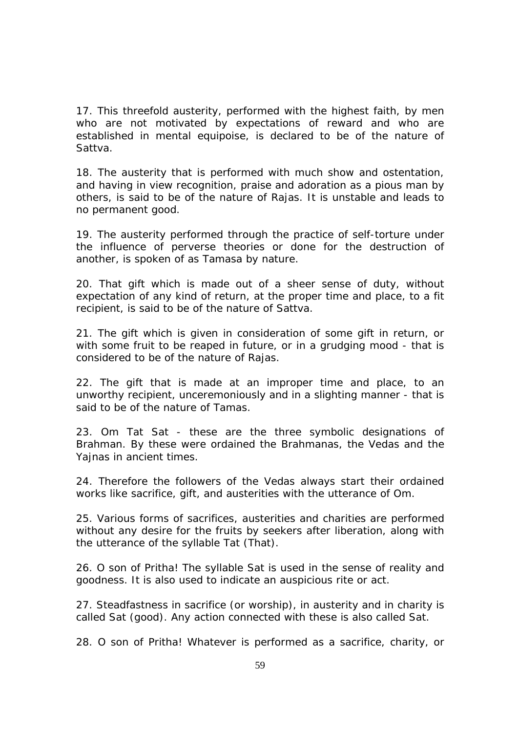17. This threefold austerity, performed with the highest faith, by men who are not motivated by expectations of reward and who are established in mental equipoise, is declared to be of the nature of Sattva.

18. The austerity that is performed with much show and ostentation, and having in view recognition, praise and adoration as a pious man by others, is said to be of the nature of Rajas. It is unstable and leads to no permanent good.

19. The austerity performed through the practice of self-torture under the influence of perverse theories or done for the destruction of another, is spoken of as Tamasa by nature.

20. That gift which is made out of a sheer sense of duty, without expectation of any kind of return, at the proper time and place, to a fit recipient, is said to be of the nature of Sattva.

21. The gift which is given in consideration of some gift in return, or with some fruit to be reaped in future, or in a grudging mood - that is considered to be of the nature of Rajas.

22. The gift that is made at an improper time and place, to an unworthy recipient, unceremoniously and in a slighting manner - that is said to be of the nature of Tamas.

23. Om Tat Sat - these are the three symbolic designations of Brahman. By these were ordained the Brahmanas, the Vedas and the Yajnas in ancient times.

24. Therefore the followers of the Vedas always start their ordained works like sacrifice, gift, and austerities with the utterance of Om.

25. Various forms of sacrifices, austerities and charities are performed without any desire for the fruits by seekers after liberation, along with the utterance of the syllable Tat (That).

26. O son of Pritha! The syllable Sat is used in the sense of reality and goodness. It is also used to indicate an auspicious rite or act.

27. Steadfastness in sacrifice (or worship), in austerity and in charity is called Sat (good). Any action connected with these is also called Sat.

28. O son of Pritha! Whatever is performed as a sacrifice, charity, or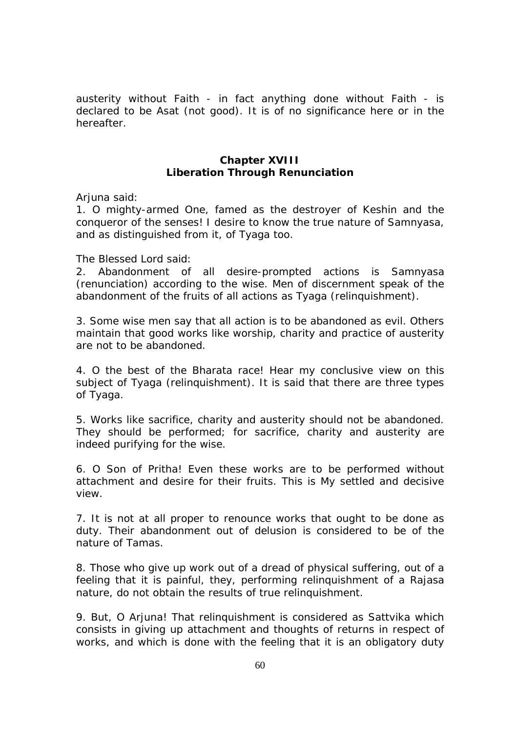austerity without Faith - in fact anything done without Faith - is declared to be Asat (not good). It is of no significance here or in the hereafter.

# **Chapter XVIII Liberation Through Renunciation**

Arjuna said:

1. O mighty-armed One, famed as the destroyer of Keshin and the conqueror of the senses! I desire to know the true nature of Samnyasa, and as distinguished from it, of Tyaga too.

The Blessed Lord said:

2. Abandonment of all desire-prompted actions is Samnyasa (renunciation) according to the wise. Men of discernment speak of the abandonment of the fruits of all actions as Tyaga (relinquishment).

3. Some wise men say that all action is to be abandoned as evil. Others maintain that good works like worship, charity and practice of austerity are not to be abandoned.

4. O the best of the Bharata race! Hear my conclusive view on this subject of Tyaga (relinquishment). It is said that there are three types of Tyaga.

5. Works like sacrifice, charity and austerity should not be abandoned. They should be performed; for sacrifice, charity and austerity are indeed purifying for the wise.

6. O Son of Pritha! Even these works are to be performed without attachment and desire for their fruits. This is My settled and decisive view.

7. It is not at all proper to renounce works that ought to be done as duty. Their abandonment out of delusion is considered to be of the nature of Tamas.

8. Those who give up work out of a dread of physical suffering, out of a feeling that it is painful, they, performing relinquishment of a Rajasa nature, do not obtain the results of true relinquishment.

9. But, O Arjuna! That relinquishment is considered as Sattvika which consists in giving up attachment and thoughts of returns in respect of works, and which is done with the feeling that it is an obligatory duty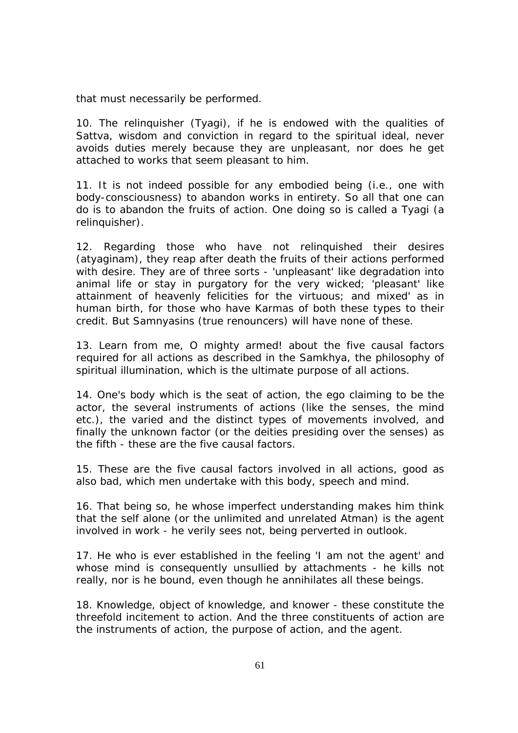that must necessarily be performed.

10. The relinquisher (Tyagi), if he is endowed with the qualities of Sattva, wisdom and conviction in regard to the spiritual ideal, never avoids duties merely because they are unpleasant, nor does he get attached to works that seem pleasant to him.

11. It is not indeed possible for any embodied being (i.e., one with body-consciousness) to abandon works in entirety. So all that one can do is to abandon the fruits of action. One doing so is called a Tyagi (a relinquisher).

12. Regarding those who have not relinquished their desires (atyaginam), they reap after death the fruits of their actions performed with desire. They are of three sorts - 'unpleasant' like degradation into animal life or stay in purgatory for the very wicked; 'pleasant' like attainment of heavenly felicities for the virtuous; and mixed' as in human birth, for those who have Karmas of both these types to their credit. But Samnyasins (true renouncers) will have none of these.

13. Learn from me, O mighty armed! about the five causal factors required for all actions as described in the Samkhya, the philosophy of spiritual illumination, which is the ultimate purpose of all actions.

14. One's body which is the seat of action, the ego claiming to be the actor, the several instruments of actions (like the senses, the mind etc.), the varied and the distinct types of movements involved, and finally the unknown factor (or the deities presiding over the senses) as the fifth - these are the five causal factors.

15. These are the five causal factors involved in all actions, good as also bad, which men undertake with this body, speech and mind.

16. That being so, he whose imperfect understanding makes him think that the self alone (or the unlimited and unrelated Atman) is the agent involved in work - he verily sees not, being perverted in outlook.

17. He who is ever established in the feeling 'I am not the agent' and whose mind is consequently unsullied by attachments - he kills not really, nor is he bound, even though he annihilates all these beings.

18. Knowledge, object of knowledge, and knower - these constitute the threefold incitement to action. And the three constituents of action are the instruments of action, the purpose of action, and the agent.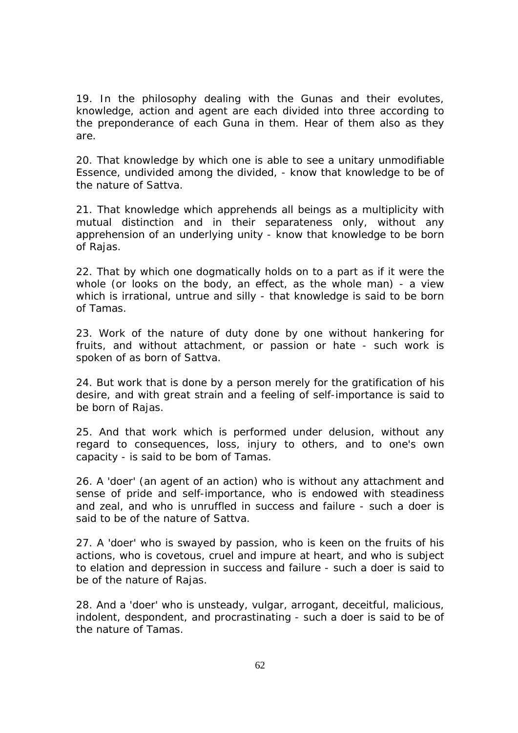19. In the philosophy dealing with the Gunas and their evolutes, knowledge, action and agent are each divided into three according to the preponderance of each Guna in them. Hear of them also as they are.

20. That knowledge by which one is able to see a unitary unmodifiable Essence, undivided among the divided, - know that knowledge to be of the nature of Sattva.

21. That knowledge which apprehends all beings as a multiplicity with mutual distinction and in their separateness only, without any apprehension of an underlying unity - know that knowledge to be born of Rajas.

22. That by which one dogmatically holds on to a part as if it were the whole (or looks on the body, an effect, as the whole man) - a view which is irrational, untrue and silly - that knowledge is said to be born of Tamas.

23. Work of the nature of duty done by one without hankering for fruits, and without attachment, or passion or hate - such work is spoken of as born of Sattva.

24. But work that is done by a person merely for the gratification of his desire, and with great strain and a feeling of self-importance is said to be born of Rajas.

25. And that work which is performed under delusion, without any regard to consequences, loss, injury to others, and to one's own capacity - is said to be bom of Tamas.

26. A 'doer' (an agent of an action) who is without any attachment and sense of pride and self-importance, who is endowed with steadiness and zeal, and who is unruffled in success and failure - such a doer is said to be of the nature of Sattva.

27. A 'doer' who is swayed by passion, who is keen on the fruits of his actions, who is covetous, cruel and impure at heart, and who is subject to elation and depression in success and failure - such a doer is said to be of the nature of Rajas.

28. And a 'doer' who is unsteady, vulgar, arrogant, deceitful, malicious, indolent, despondent, and procrastinating - such a doer is said to be of the nature of Tamas.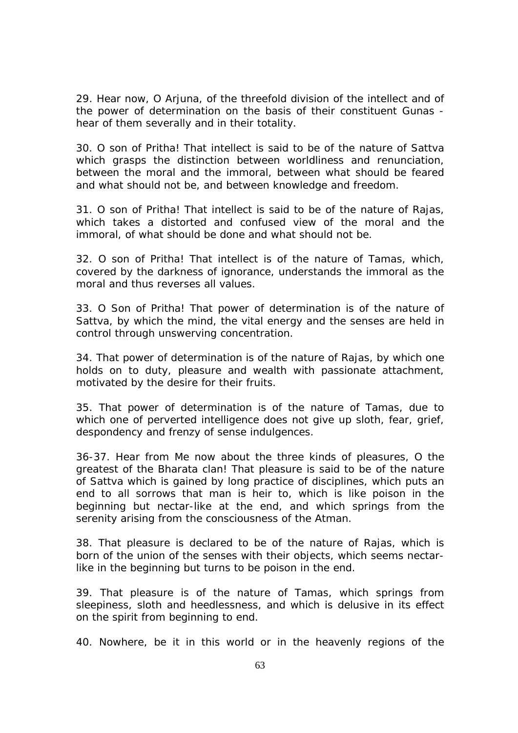29. Hear now, O Arjuna, of the threefold division of the intellect and of the power of determination on the basis of their constituent Gunas hear of them severally and in their totality.

30. O son of Pritha! That intellect is said to be of the nature of Sattva which grasps the distinction between worldliness and renunciation, between the moral and the immoral, between what should be feared and what should not be, and between knowledge and freedom.

31. O son of Pritha! That intellect is said to be of the nature of Rajas, which takes a distorted and confused view of the moral and the immoral, of what should be done and what should not be.

32. O son of Pritha! That intellect is of the nature of Tamas, which, covered by the darkness of ignorance, understands the immoral as the moral and thus reverses all values.

33. O Son of Pritha! That power of determination is of the nature of Sattva, by which the mind, the vital energy and the senses are held in control through unswerving concentration.

34. That power of determination is of the nature of Rajas, by which one holds on to duty, pleasure and wealth with passionate attachment, motivated by the desire for their fruits.

35. That power of determination is of the nature of Tamas, due to which one of perverted intelligence does not give up sloth, fear, grief, despondency and frenzy of sense indulgences.

36-37. Hear from Me now about the three kinds of pleasures, O the greatest of the Bharata clan! That pleasure is said to be of the nature of Sattva which is gained by long practice of disciplines, which puts an end to all sorrows that man is heir to, which is like poison in the beginning but nectar-like at the end, and which springs from the serenity arising from the consciousness of the Atman.

38. That pleasure is declared to be of the nature of Rajas, which is born of the union of the senses with their objects, which seems nectarlike in the beginning but turns to be poison in the end.

39. That pleasure is of the nature of Tamas, which springs from sleepiness, sloth and heedlessness, and which is delusive in its effect on the spirit from beginning to end.

40. Nowhere, be it in this world or in the heavenly regions of the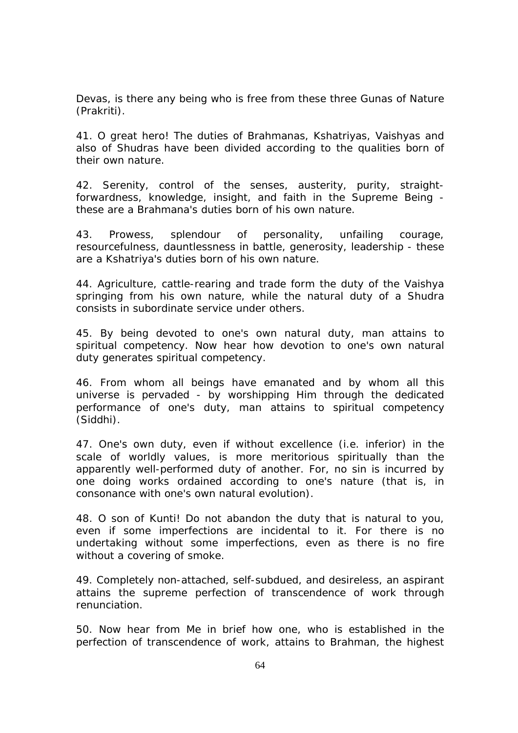Devas, is there any being who is free from these three Gunas of Nature (Prakriti).

41. O great hero! The duties of Brahmanas, Kshatriyas, Vaishyas and also of Shudras have been divided according to the qualities born of their own nature.

42. Serenity, control of the senses, austerity, purity, straightforwardness, knowledge, insight, and faith in the Supreme Being these are a Brahmana's duties born of his own nature.

43. Prowess, splendour of personality, unfailing courage, resourcefulness, dauntlessness in battle, generosity, leadership - these are a Kshatriya's duties born of his own nature.

44. Agriculture, cattle-rearing and trade form the duty of the Vaishya springing from his own nature, while the natural duty of a Shudra consists in subordinate service under others.

45. By being devoted to one's own natural duty, man attains to spiritual competency. Now hear how devotion to one's own natural duty generates spiritual competency.

46. From whom all beings have emanated and by whom all this universe is pervaded - by worshipping Him through the dedicated performance of one's duty, man attains to spiritual competency (Siddhi).

47. One's own duty, even if without excellence (i.e. inferior) in the scale of worldly values, is more meritorious spiritually than the apparently well-performed duty of another. For, no sin is incurred by one doing works ordained according to one's nature (that is, in consonance with one's own natural evolution).

48. O son of Kunti! Do not abandon the duty that is natural to you, even if some imperfections are incidental to it. For there is no undertaking without some imperfections, even as there is no fire without a covering of smoke.

49. Completely non-attached, self-subdued, and desireless, an aspirant attains the supreme perfection of transcendence of work through renunciation.

50. Now hear from Me in brief how one, who is established in the perfection of transcendence of work, attains to Brahman, the highest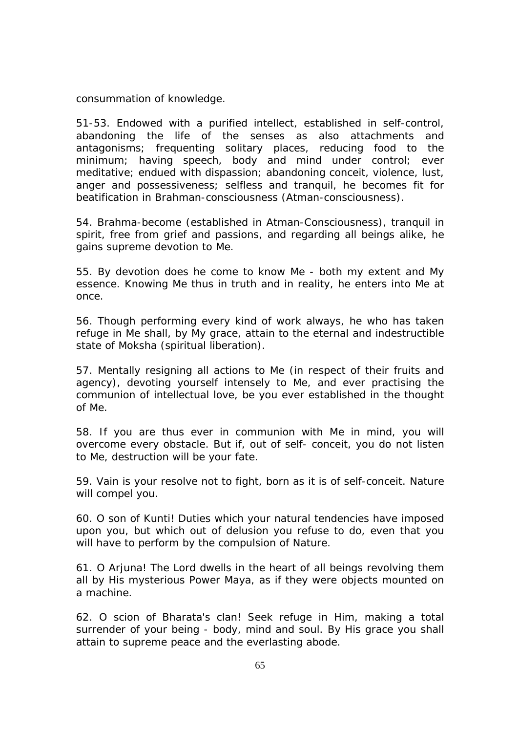consummation of knowledge.

51-53. Endowed with a purified intellect, established in self-control, abandoning the life of the senses as also attachments and antagonisms; frequenting solitary places, reducing food to the minimum; having speech, body and mind under control; ever meditative; endued with dispassion; abandoning conceit, violence, lust, anger and possessiveness; selfless and tranquil, he becomes fit for beatification in Brahman-consciousness (Atman-consciousness).

54. Brahma-become (established in Atman-Consciousness), tranquil in spirit, free from grief and passions, and regarding all beings alike, he gains supreme devotion to Me.

55. By devotion does he come to know Me - both my extent and My essence. Knowing Me thus in truth and in reality, he enters into Me at once.

56. Though performing every kind of work always, he who has taken refuge in Me shall, by My grace, attain to the eternal and indestructible state of Moksha (spiritual liberation).

57. Mentally resigning all actions to Me (in respect of their fruits and agency), devoting yourself intensely to Me, and ever practising the communion of intellectual love, be you ever established in the thought of Me.

58. If you are thus ever in communion with Me in mind, you will overcome every obstacle. But if, out of self- conceit, you do not listen to Me, destruction will be your fate.

59. Vain is your resolve not to fight, born as it is of self-conceit. Nature will compel you.

60. O son of Kunti! Duties which your natural tendencies have imposed upon you, but which out of delusion you refuse to do, even that you will have to perform by the compulsion of Nature.

61. O Arjuna! The Lord dwells in the heart of all beings revolving them all by His mysterious Power Maya, as if they were objects mounted on a machine.

62. O scion of Bharata's clan! Seek refuge in Him, making a total surrender of your being - body, mind and soul. By His grace you shall attain to supreme peace and the everlasting abode.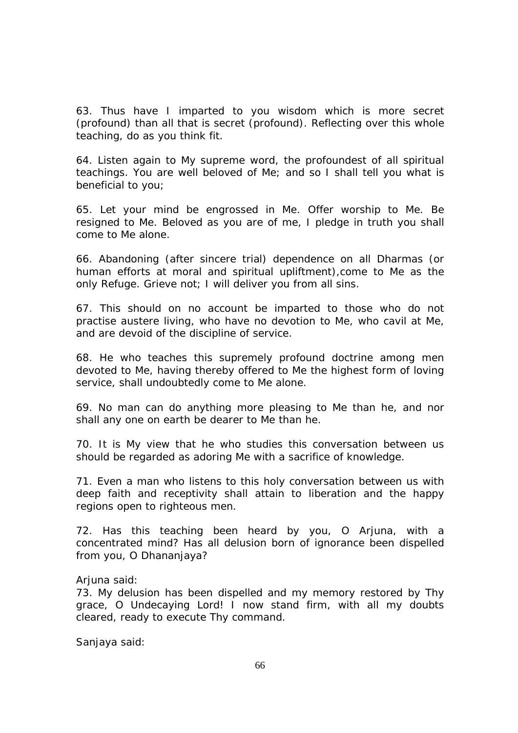63. Thus have I imparted to you wisdom which is more secret (profound) than all that is secret (profound). Reflecting over this whole teaching, do as you think fit.

64. Listen again to My supreme word, the profoundest of all spiritual teachings. You are well beloved of Me; and so I shall tell you what is beneficial to you;

65. Let your mind be engrossed in Me. Offer worship to Me. Be resigned to Me. Beloved as you are of me, I pledge in truth you shall come to Me alone.

66. Abandoning (after sincere trial) dependence on all Dharmas (or human efforts at moral and spiritual upliftment),come to Me as the only Refuge. Grieve not; I will deliver you from all sins.

67. This should on no account be imparted to those who do not practise austere living, who have no devotion to Me, who cavil at Me, and are devoid of the discipline of service.

68. He who teaches this supremely profound doctrine among men devoted to Me, having thereby offered to Me the highest form of loving service, shall undoubtedly come to Me alone.

69. No man can do anything more pleasing to Me than he, and nor shall any one on earth be dearer to Me than he.

70. It is My view that he who studies this conversation between us should be regarded as adoring Me with a sacrifice of knowledge.

71. Even a man who listens to this holy conversation between us with deep faith and receptivity shall attain to liberation and the happy regions open to righteous men.

72. Has this teaching been heard by you, O Arjuna, with a concentrated mind? Has all delusion born of ignorance been dispelled from you, O Dhananjaya?

#### Arjuna said:

73. My delusion has been dispelled and my memory restored by Thy grace, O Undecaying Lord! I now stand firm, with all my doubts cleared, ready to execute Thy command.

Sanjaya said: